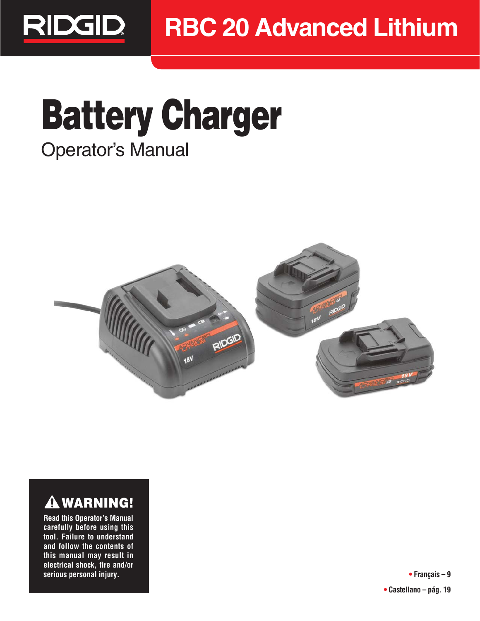

# **Battery Charger**

## Operator's Manual





**Read this Operator's Manual carefully before using this tool. Failure to understand and follow the contents of this manual may result in electrical shock, fire and/or serious personal injury.**

**• Français – 9 • Castellano – pág. 19**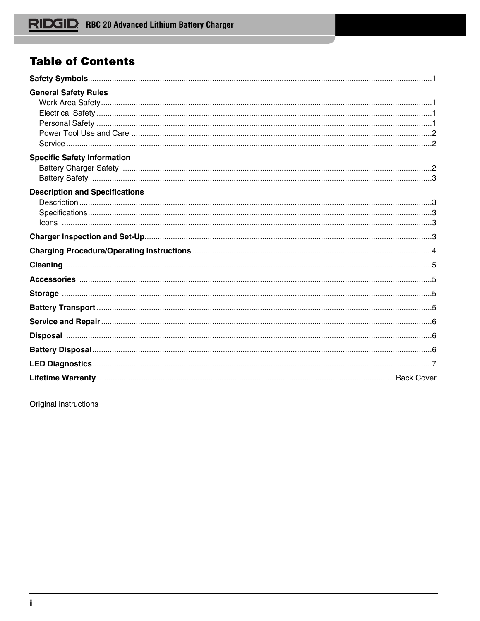## **Table of Contents**

Original instructions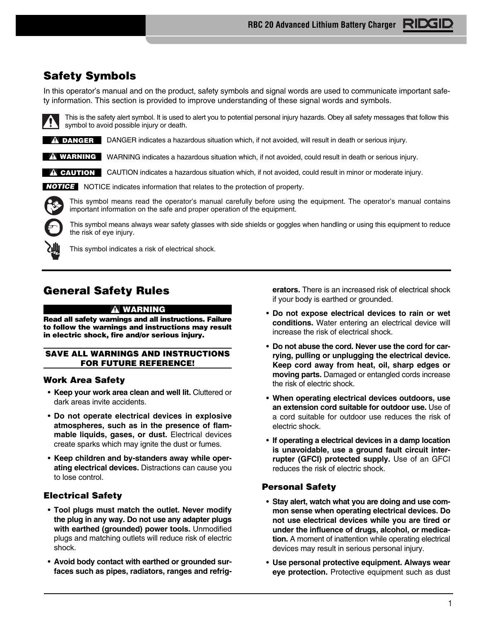## **Safety Symbols**

In this operator's manual and on the product, safety symbols and signal words are used to communicate important safety information. This section is provided to improve understanding of these signal words and symbols.

**DANGER** DANGER indicates a hazardous situation which, if not avoided, will result in death or serious injury. This is the safety alert symbol. It is used to alert you to potential personal injury hazards. Obey all safety messages that follow this symbol to avoid possible injury or death. **WARNING** WARNING indicates a hazardous situation which, if not avoided, could result in death or serious injury.

**A CAUTION** CAUTION indicates a hazardous situation which, if not avoided, could result in minor or moderate injury.

NOTICE indicates information that relates to the protection of property. **NOTICE**

This symbol means read the operator's manual carefully before using the equipment. The operator's manual contains important information on the safe and proper operation of the equipment.

This symbol means always wear safety glasses with side shields or goggles when handling or using this equipment to reduce the risk of eye injury.

This symbol indicates a risk of electrical shock.

## **General Safety Rules**

#### **WARNING**

**Read all safety warnings and all instructions. Failure to follow the warnings and instructions may result in electric shock, fire and/or serious injury.**

## **SAVE ALL WARNINGS AND INSTRUCTIONS FOR FUTURE REFERENCE!**

### **Work Area Safety**

- **Keep your work area clean and well lit.** Cluttered or dark areas invite accidents.
- **Do not operate electrical devices in explosive atmospheres, such as in the presence of flam mable liquids, gases, or dust.** Electrical devices create sparks which may ignite the dust or fumes.
- **Keep children and by-standers away while operating electrical devices.** Distractions can cause you to lose control.

## **Electrical Safety**

- **Tool plugs must match the outlet. Never modify the plug in any way. Do not use any adapter plugs with earthed (grounded) power tools.** Unmodified plugs and matching outlets will reduce risk of electric shock.
- **Avoid body contact with earthed or grounded surfaces such as pipes, radiators, ranges and refrig-**

**erators.** There is an increased risk of electrical shock if your body is earthed or grounded.

- **Do not expose electrical devices to rain or wet conditions.** Water entering an electrical device will increase the risk of electrical shock.
- **Do not abuse the cord. Never use the cord for carrying, pulling or unplugging the electrical device. Keep cord away from heat, oil, sharp edges or moving parts.** Damaged or entangled cords increase the risk of electric shock.
- **When operating electrical devices outdoors, use an extension cord suitable for outdoor use.** Use of a cord suitable for outdoor use reduces the risk of electric shock.
- **If operating a electrical devices in a damp location is unavoidable, use a ground fault circuit interrupter (GFCI) protected supply.** Use of an GFCI reduces the risk of electric shock.

## **Personal Safety**

- **Stay alert, watch what you are doing and use common sense when operating electrical devices. Do not use electrical devices while you are tired or under the influence of drugs, alcohol, or medication.** A moment of inattention while operating electrical devices may result in serious personal injury.
- **Use personal protective equipment. Always wear eye protection.** Protective equipment such as dust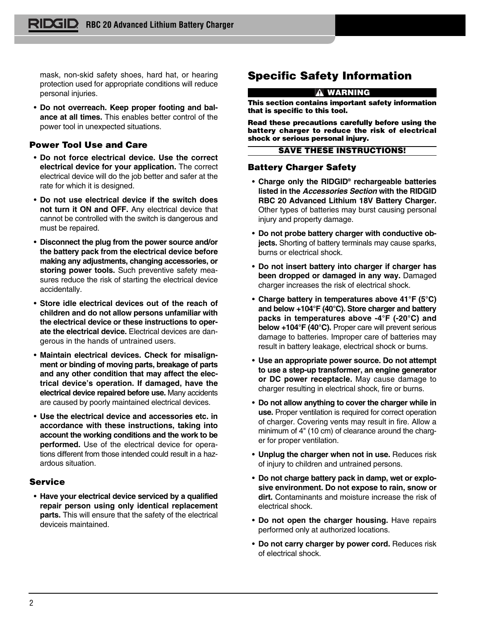mask, non-skid safety shoes, hard hat, or hearing protection used for appropriate conditions will reduce personal injuries.

• **Do not overreach. Keep proper footing and balance at all times.** This enables better control of the power tool in unexpected situations.

## **Power Tool Use and Care**

- **Do not force electrical device. Use the correct electrical device for your application.** The correct electrical device will do the job better and safer at the rate for which it is designed.
- **Do not use electrical device if the switch does not turn it ON and OFF.** Any electrical device that cannot be controlled with the switch is dangerous and must be repaired.
- **Disconnect the plug from the power source and/or the battery pack from the electrical device before making any adjustments, changing accessories, or storing power tools.** Such preventive safety measures reduce the risk of starting the electrical device accidentally.
- **Store idle electrical devices out of the reach of children and do not allow persons unfamiliar with the electrical device or these instructions to operate the electrical device.** Electrical devices are dangerous in the hands of untrained users.
- **Maintain electrical devices. Check for misalignment or binding of moving parts, breakage of parts and any other condition that may affect the electrical device's operation. If damaged, have the electrical device repaired before use.** Many accidents are caused by poorly maintained electrical devices.
- **Use the electrical device and accessories etc. in accordance with these instructions, taking into account the working conditions and the work to be performed.** Use of the electrical device for operations different from those intended could result in a hazardous situation.

## **Service**

• **Have your electrical device serviced by a qualified repair person using only identical replacement parts.** This will ensure that the safety of the electrical deviceis maintained.

## **Specific Safety Information**

## **WARNING**

**This section contains important safety information that is specific to this tool.** 

**Read these precautions carefully before using the** battery charger to reduce the risk of electrical **shock or serious personal injury.**

## **SAVE THESE INSTRUCTIONS!**

## **Battery Charger Safety**

- **Charge only the RIDGID® rechargeable batteries listed in the Accessories Section with the RIDGID RBC 20 Advanced Lithium 18V Battery Charger.** Other types of batteries may burst causing personal injury and property damage.
- **Do not probe battery charger with conductive ob jects.** Shorting of battery terminals may cause sparks, burns or electrical shock.
- **Do not insert battery into charger if charger has been dropped or damaged in any way.** Damaged charger increases the risk of electrical shock.
- **Charge battery in temperatures above 41°F (5°C) and below +104°F (40°C). Store charger and battery packs in temperatures above -4°F (-20°C) and below +104°F (40°C).** Proper care will prevent serious damage to batteries. Improper care of batteries may result in battery leakage, electrical shock or burns.
- **Use an appropriate power source. Do not attempt to use a step-up transformer, an engine generator or DC power receptacle.** May cause damage to charger resulting in electrical shock, fire or burns.
- **Do not allow anything to cover the charger while in use.** Proper ventilation is required for correct operation of charger. Covering vents may result in fire. Allow a minimum of 4" (10 cm) of clearance around the charger for proper ventilation.
- **Unplug the charger when not in use.** Reduces risk of injury to children and untrained persons.
- **Do not charge battery pack in damp, wet or explosive environment. Do not expose to rain, snow or dirt.** Contaminants and moisture increase the risk of electrical shock.
- **Do not open the charger housing.** Have repairs performed only at authorized locations.
- **Do not carry charger by power cord.** Reduces risk of electrical shock.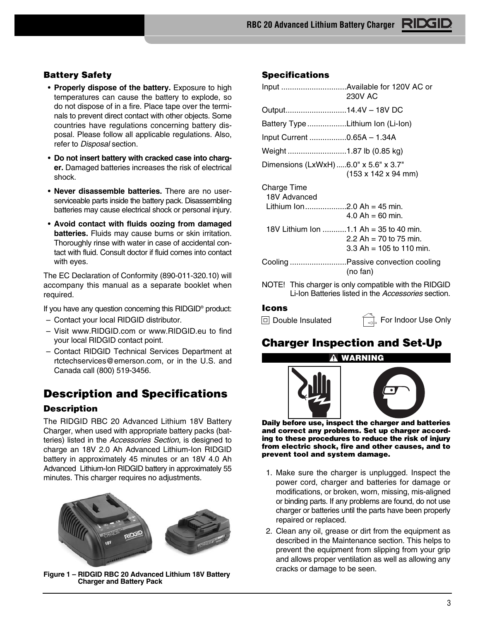**RBC 20 Advanced Lithium Battery Charger**

## **Battery Safety**

- Properly dispose of the battery. Exposure to high temperatures can cause the battery to explode, so do not dispose of in a fire. Place tape over the terminals to prevent direct contact with other objects. Some countries have regulations concerning battery disposal. Please follow all applicable regulations. Also, refer to Disposal section.
- **Do not insert battery with cracked case into charger.** Damaged batteries increases the risk of electrical shock.
- **Never disassemble batteries.** There are no userserviceable parts inside the battery pack. Disas sembling batteries may cause electrical shock or personal injury.
- **Avoid contact with fluids oozing from damaged batteries.** Fluids may cause burns or skin irritation. Thoroughly rinse with water in case of accidental contact with fluid. Consult doctor if fluid comes into contact with eyes.

The EC Declaration of Conformity (890-011-320.10) will accompany this manual as a separate booklet when required.

If you have any question concerning this RIDGID® product:

- Contact your local RIDGID distributor.
- Visit www.RIDGID.com or www.RIDGID.eu to find your local RIDGID contact point.
- Contact RIDGID Technical Services Department at rtctechservices@emerson.com, or in the U.S. and Canada call (800) 519-3456.

## **Description and Specifications**

#### **Description**

The RIDGID RBC 20 Advanced Lithium 18V Battery Charger, when used with appropriate battery packs (batteries) listed in the Accessories Section, is designed to charge an 18V 2.0 Ah Advanced Lithium-Ion RIDGID battery in approximately 45 minutes or an 18V 4.0 Ah Advanced Lithium-Ion RIDGID battery in approximately 55 minutes. This charger requires no adjustments.



**Figure 1 – RIDGID RBC 20 Advanced Lithium 18V Battery Charger and Battery Pack**

## **Specifications**

|                                                            | 230V AC                                                        |
|------------------------------------------------------------|----------------------------------------------------------------|
| Output14.4V - 18V DC                                       |                                                                |
| Battery Type Lithium Ion (Li-Ion)                          |                                                                |
| Input Current 0.65A - 1.34A                                |                                                                |
| Weight1.87 lb (0.85 kg)                                    |                                                                |
| Dimensions (LxWxH)6.0" x 5.6" x 3.7"                       | $(153 \times 142 \times 94 \text{ mm})$                        |
| Charge Time<br>18V Advanced<br>Lithium Ion2.0 Ah = 45 min. | 4.0 Ah = 60 min.                                               |
| 18V Lithium Ion 1.1 Ah = 35 to 40 min.                     | 2.2 Ah = 70 to 75 min.<br>$3.3$ Ah = 105 to 110 min.           |
|                                                            | (no fan)                                                       |
|                                                            | $N\cap T\Gamma$ This shores is only compatible with the DIDCIE |

NOTE! This charger is only compatible with the RIDGID Li-Ion Batteries listed in the Accessories section.

#### **Icons**

| Double Insulated | For Indoor Use Only |
|------------------|---------------------|
|------------------|---------------------|

## **Charger Inspection and Set-Up**



**Daily before use, inspect the charger and batteries and correct any problems. Set up charger according to these procedures to reduce the risk of injury from electric shock, fire and other causes, and to prevent tool and system damage.**

- 1. Make sure the charger is unplugged. Inspect the power cord, charger and batteries for damage or modifications, or broken, worn, missing, mis-aligned or binding parts. If any problems are found, do not use charger or batteries until the parts have been properly repaired or replaced.
- 2. Clean any oil, grease or dirt from the equipment as described in the Maintenance section. This helps to prevent the equipment from slipping from your grip and allows proper ventilation as well as allowing any cracks or damage to be seen.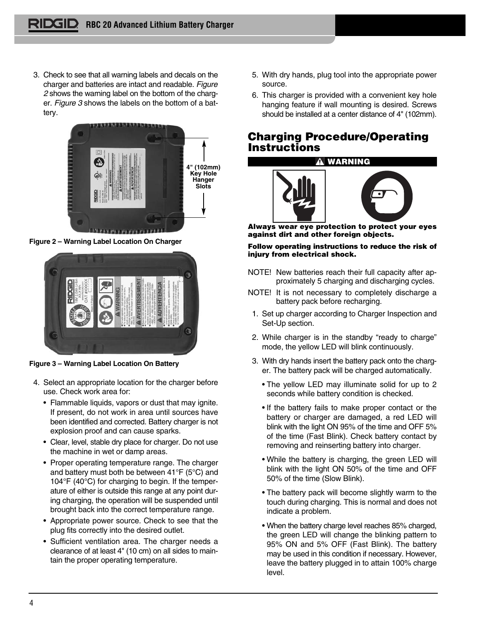3. Check to see that all warning labels and decals on the charger and batteries are intact and readable. Figure 2 shows the warning label on the bottom of the charger. Figure 3 shows the labels on the bottom of a battery.



**Figure 2 – Warning Label Location On Charger**



**Figure 3 – Warning Label Location On Battery**

- 4. Select an appropriate location for the charger before use. Check work area for:
	- Flammable liquids, vapors or dust that may ignite. If present, do not work in area until sources have been identified and corrected. Battery charger is not explosion proof and can cause sparks.
	- Clear, level, stable dry place for charger. Do not use the machine in wet or damp areas.
	- Proper operating temperature range. The charger and battery must both be between 41°F (5°C) and 104°F (40°C) for charging to begin. If the temperature of either is outside this range at any point during charging, the operation will be suspended until brought back into the correct temperature range.
	- Appropriate power source. Check to see that the plug fits correctly into the desired outlet.
	- Sufficient ventilation area. The charger needs a clearance of at least 4" (10 cm) on all sides to maintain the proper operating temperature.
- 5. With dry hands, plug tool into the appropriate power source.
- 6. This charger is provided with a convenient key hole hanging feature if wall mounting is desired. Screws should be installed at a center distance of 4" (102mm).

## **Charging Procedure/Operating Instructions**

### **WARNING**



**Always wear eye protection to protect your eyes against dirt and other foreign objects.** 

#### **Follow operating instructions to reduce the risk of injury from electrical shock.**

- NOTE! New batteries reach their full capacity after approximately 5 charging and discharging cycles.
- NOTE! It is not necessary to completely discharge a battery pack before recharging.
- 1. Set up charger according to Charger Inspection and Set-Up section.
- 2. While charger is in the standby "ready to charge" mode, the yellow LED will blink continuously.
- 3. With dry hands insert the battery pack onto the charger. The battery pack will be charged automatically.
	- The yellow LED may illuminate solid for up to 2 seconds while battery condition is checked.
	- If the battery fails to make proper contact or the battery or charger are damaged, a red LED will blink with the light ON 95% of the time and OFF 5% of the time (Fast Blink). Check battery contact by removing and reinserting battery into charger.
	- While the battery is charging, the green LED will blink with the light ON 50% of the time and OFF 50% of the time (Slow Blink).
	- The battery pack will become slightly warm to the touch during charging. This is normal and does not indicate a problem.
	- When the battery charge level reaches 85% charged, the green LED will change the blinking pattern to 95% ON and 5% OFF (Fast Blink). The battery may be used in this condition if necessary. However, leave the battery plugged in to attain 100% charge level.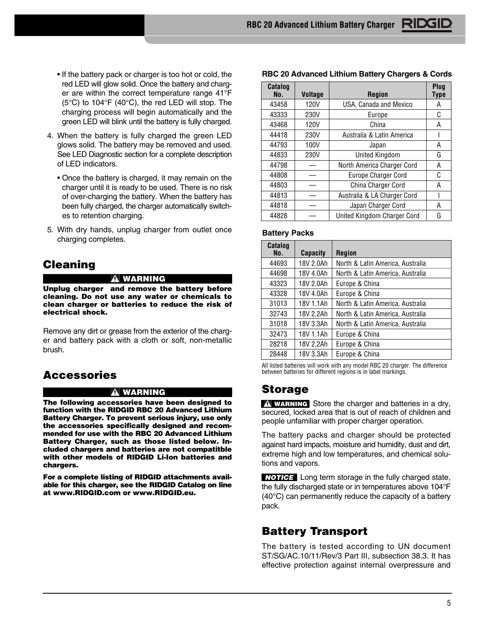- If the battery pack or charger is too hot or cold, the red LED will glow solid. Once the battery and charger are within the correct temperature range 41°F (5°C) to 104°F (40°C), the red LED will stop. The charging process will begin automatically and the green LED will blink until the battery is fully charged.
- 4. When the battery is fully charged the green LED glows solid. The battery may be removed and used. See LED Diagnostic section for a complete description of LED indicators.
	- Once the battery is charged, it may remain on the charger until it is ready to be used. There is no risk of over-charging the battery. When the battery has been fully charged, the charger automatically switches to retention charging.
- 5. With dry hands, unplug charger from outlet once charging completes.

## **Cleaning**

#### **WARNING**

**Unplug charger and remove the battery before cleaning. Do not use any water or chemicals to clean charger or batteries to reduce the risk of electrical shock.**

Remove any dirt or grease from the exterior of the charger and battery pack with a cloth or soft, non-metallic brush.

## **Accessories**

#### **WARNING**

**The following accessories have been de signed to function with the RIDGID RBC 20 Advanced Lithium Battery Charger. To prevent serious injury, use only the accessories specifically designed and recommended for use with the RBC 20 Advanced Lithium Battery Charger, such as those listed below. Included chargers and batteries are not compatitble with other models of RIDGID Li-Ion batteries and chargers.**

**For a complete listing of RIDGID attachments available for this charger, see the RIDGID Catalog on line at www.RIDGID.com or www.RIDGID.eu.**

| Catalog<br>No. | <b>Voltage</b> | <b>Region</b>               | Plug<br>Type |
|----------------|----------------|-----------------------------|--------------|
| 43458          | 120V           | USA, Canada and Mexico      | А            |
| 43333          | 230V           | Europe                      | C            |
| 43468          | 120V           | China                       | Α            |
| 44418          | 230V           | Australia & Latin America   |              |
| 44793          | 100V           | Japan                       | А            |
| 44833          | 230V           | <b>United Kingdom</b>       | G            |
| 44798          |                | North America Charger Cord  | А            |
| 44808          |                | <b>Europe Charger Cord</b>  | C            |
| 44803          |                | China Charger Cord          | А            |
| 44813          |                | Australia & LA Charger Cord |              |
| 44818          |                | Japan Charger Cord          | А            |
| 44828          |                | United Kingdom Charger Cord | G            |

#### **Battery Packs**

| <b>Catalog</b><br>No. | <b>Capacity</b> | <b>Region</b>                    |
|-----------------------|-----------------|----------------------------------|
| 44693                 | 18V 2.0Ah       | North & Latin America, Australia |
| 44698                 | 18V 4.0Ah       | North & Latin America, Australia |
| 43323                 | 18V 2.0Ah       | Europe & China                   |
| 43328                 | 18V 4.0Ah       | Europe & China                   |
| 31013                 | 18V 1.1Ah       | North & Latin America, Australia |
| 32743                 | 18V 2.2Ah       | North & Latin America, Australia |
| 31018                 | 18V 3.3Ah       | North & Latin America, Australia |
| 32473                 | 18V 1.1Ah       | Europe & China                   |
| 28218                 | 18V 2.2Ah       | Europe & China                   |
| 28448                 | 18V 3.3Ah       | Europe & China                   |

All listed batteries will work with any model RBC 20 charger. The difference between batteries for different regions is in label markings.

## **Storage**

WARNING Store the charger and batteries in a dry, secured, locked area that is out of reach of children and people unfamiliar with proper charger operation.

The battery packs and charger should be protected against hard impacts, moisture and humidity, dust and dirt, extreme high and low temperatures, and chemical solutions and vapors.

**NOTICE** Long term storage in the fully charged state, the fully discharged state or in temperatures above 104°F (40°C) can permanently reduce the capacity of a battery pack.

## **Battery Transport**

The battery is tested according to UN document ST/SG/AC.10/11/ Rev/3 Part III, subsection 38.3. It has effective protection against internal overpressure and

## **RBC 20 Advanced Lithium Battery Chargers & Cords**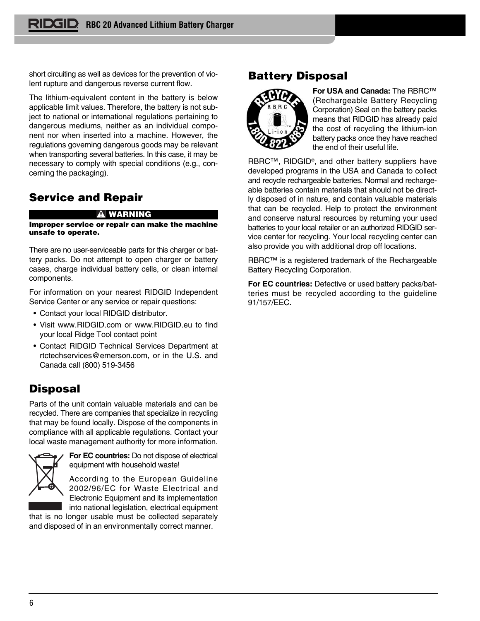short circuiting as well as devices for the prevention of violent rupture and dangerous reverse current flow.

The lithium-equivalent content in the battery is below applicable limit values. Therefore, the battery is not subject to national or international regulations pertaining to dangerous mediums, neither as an individual component nor when inserted into a machine. However, the regulations governing dangerous goods may be relevant when transporting several batteries. In this case, it may be necessary to comply with special conditions (e.g., concerning the packaging).

## **Service and Repair**

#### **WARNING**

**Improper service or repair can make the machine unsafe to operate.**

There are no user-serviceable parts for this charger or battery packs. Do not attempt to open charger or battery cases, charge individual battery cells, or clean internal components.

For information on your nearest RIDGID Independent Service Center or any service or repair questions:

- Contact your local RIDGID distributor.
- Visit www.RIDGID.com or www.RIDGID.eu to find your local Ridge Tool contact point
- Contact RIDGID Technical Services Department at rtctechservices@emerson.com, or in the U.S. and Canada call (800) 519-3456

## **Disposal**

Parts of the unit contain valuable materials and can be recycled. There are companies that specialize in recycling that may be found locally. Dispose of the components in compliance with all applicable regulations. Contact your local waste management authority for more information.



**For EC countries:** Do not dispose of electrical equipment with household waste!

According to the European Guideline 2002/96/EC for Waste Electrical and Electronic Equipment and its implementation into national legislation, electrical equipment

that is no longer usable must be collected separately and disposed of in an environmentally correct manner.

## **Battery Disposal**



**For USA and Canada:** The RBRC™ (Rechargeable Battery Recycling Corporation) Seal on the battery packs means that RIDGID has already paid the cost of recycling the lithium-ion battery packs once they have reached the end of their useful life.

RBRC™, RIDGID<sup>®</sup>, and other battery suppliers have developed programs in the USA and Canada to collect and recycle rechargeable batteries. Normal and rechargeable batteries contain materials that should not be directly disposed of in nature, and contain valuable materials that can be recycled. Help to protect the environment and conserve natural resources by returning your used batteries to your local retailer or an authorized RIDGID service center for recycling. Your local recycling center can also provide you with additional drop off locations.

RBRC™ is a registered trademark of the Rechargeable Battery Recycling Corporation.

For EC countries: Defective or used battery packs/batteries must be recycled according to the guideline 91/157/EEC.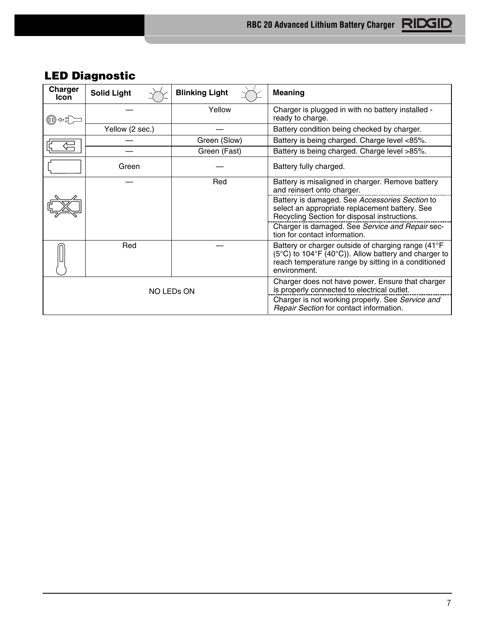| <b>Charger</b><br>Icon | <b>Solid Light</b> | <b>Blinking Light</b> | <b>Meaning</b>                                                                                                                                                                                                  |
|------------------------|--------------------|-----------------------|-----------------------------------------------------------------------------------------------------------------------------------------------------------------------------------------------------------------|
| (0)⇔≦)                 |                    | Yellow                | Charger is plugged in with no battery installed -<br>ready to charge.                                                                                                                                           |
|                        | Yellow (2 sec.)    |                       | Battery condition being checked by charger.                                                                                                                                                                     |
|                        |                    | Green (Slow)          | Battery is being charged. Charge level <85%.                                                                                                                                                                    |
|                        |                    | Green (Fast)          | Battery is being charged. Charge level >85%.                                                                                                                                                                    |
|                        | Green              |                       | Battery fully charged.                                                                                                                                                                                          |
|                        |                    | Red                   | Battery is misaligned in charger. Remove battery<br>and reinsert onto charger.                                                                                                                                  |
|                        |                    |                       | Battery is damaged. See Accessories Section to<br>select an appropriate replacement battery. See<br>Recycling Section for disposal instructions.                                                                |
|                        |                    |                       | Charger is damaged. See Service and Repair sec-<br>tion for contact information.                                                                                                                                |
|                        | Red                |                       | Battery or charger outside of charging range (41°F<br>$(5^{\circ}C)$ to 104 $^{\circ}F$ (40 $^{\circ}C$ )). Allow battery and charger to<br>reach temperature range by sitting in a conditioned<br>environment. |
| NO LED <sub>s</sub> ON |                    |                       | Charger does not have power. Ensure that charger<br>is properly connected to electrical outlet.                                                                                                                 |
|                        |                    |                       | Charger is not working properly. See Service and<br>Repair Section for contact information.                                                                                                                     |

## **LED Diagnostic**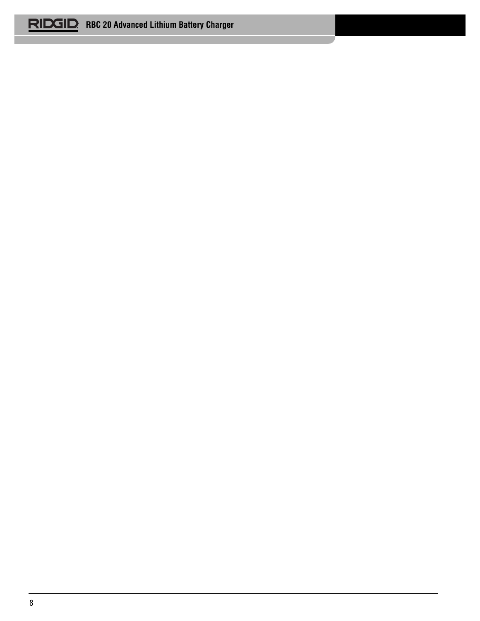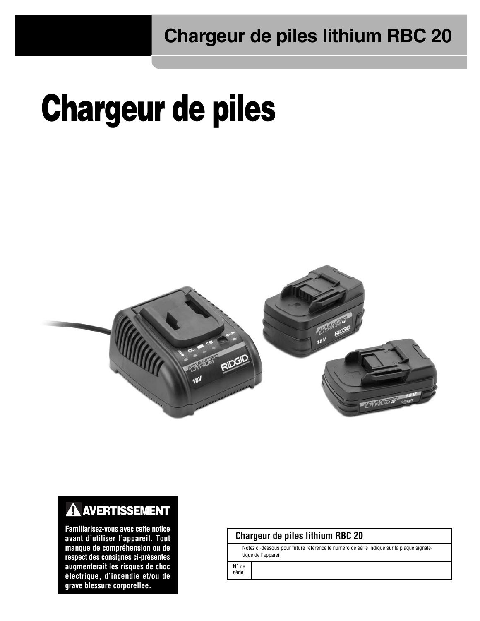**Chargeur de piles lithium RBC 20**

# **Chargeur de piles**



## **A AVERTISSEMENT**

**Familiarisez-vous avec cette notice avant d'utiliser l'appareil. Tout manque de compréhension ou de respect des consignes ci-présentes augmenterait les risques de choc électrique, d'incendie et/ou de grave blessure corporellee.**

## **Chargeur de piles lithium RBC 20**

Notez ci-dessous pour future référence le numéro de série indiqué sur la plaque signalétique de l'appareil.

N° de série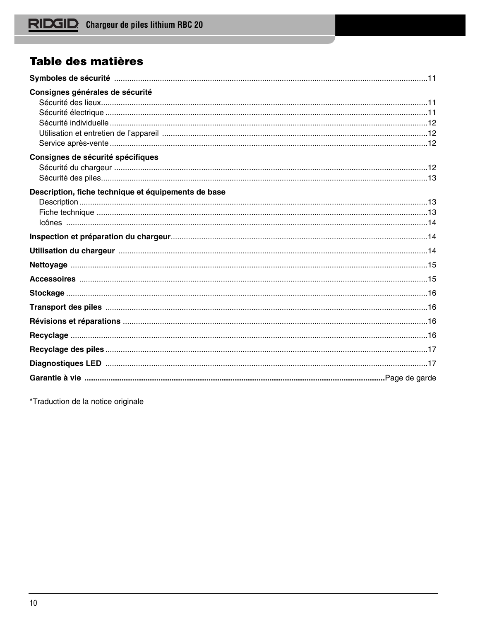## Table des matières

\*Traduction de la notice originale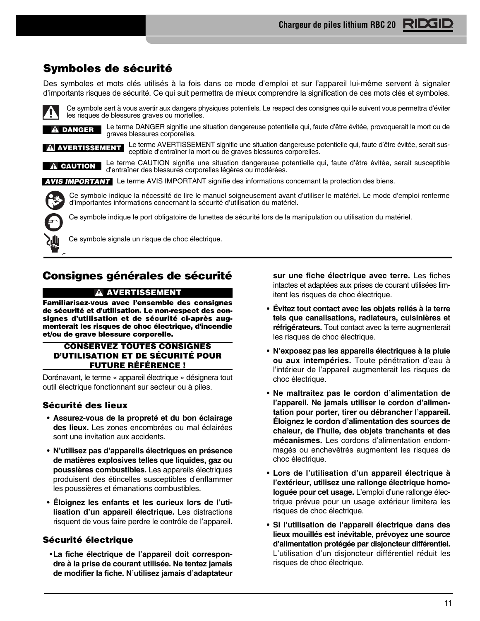## **Symboles de sécurité**

Des symboles et mots clés utilisés à la fois dans ce mode d'emploi et sur l'appareil lui-même servent à signaler d'importants risques de sécurité. Ce qui suit permettra de mieux comprendre la signification de ces mots clés et symboles.



Ce symbole sert à vous avertir aux dangers physiques potentiels. Le respect des consignes qui le suivent vous permettra d'éviter les risques de blessures graves ou mortelles.

Le terme DANGER signifie une situation dangereuse potentielle qui, faute d'être évitée, provoquerait la mort ou de graves blessures corporelles. **DANGER**

Le terme AVERTISSEMENT signifie une situation dangereuse potentielle qui, faute d'être évitée, serait susceptible d'entraîner la mort ou de graves blessures corporelles. **AVERTISSEMENT**

Le terme CAUTION signifie une situation dangereuse potentielle qui, faute d'être évitée, serait susceptible d'entraîner des blessures corporelles légères ou modérées. **A** CAUTION

AVIS IMPORTANT Le terme AVIS IMPORTANT signifie des informations concernant la protection des biens.

Ce symbole indique la nécessité de lire le manuel soigneusement avant d'utiliser le matériel. Le mode d'emploi renferme d'importantes informations concernant la sécurité d'utilisation du matériel.

Ce symbole indique le port obligatoire de lunettes de sécurité lors de la manipulation ou utilisation du matériel.



## **Consignes générales de sécurité**

### **AVERTISSEMENT**

**Familiarisez-vous avec l'ensemble des consignes de sécurité et d'utilisation. Le non-respect des consignes d'utilisation et de sécurité ci-après augmenterait les risques de choc électrique, d'incendie et/ou de grave blessure corporelle.**

## **CONSERVEZ TOUTES CONSIGNES D'UTILISATION ET DE SÉCURITÉ POUR FUTURE RÉFÉRENCE !**

Dorénavant, le terme « appareil électrique » désignera tout outil électrique fonctionnant sur secteur ou à piles.

## **Sécurité des lieux**

- **Assurez-vous de la propreté et du bon éclairage des lieux.** Les zones encombrées ou mal éclairées sont une invitation aux accidents.
- **N'utilisez pas d'appareils électriques en présence de matières explosives telles que liquides, gaz ou poussières combustibles.** Les appareils électriques produisent des étincelles susceptibles d'enflammer les poussières et émanations combustibles.
- **Éloignez les enfants et les curieux lors de l'uti lisation d'un appareil électrique.** Les distractions risquent de vous faire perdre le contrôle de l'appareil.

## **Sécurité électrique**

•**La fiche électrique de l'appareil doit correspondre à la prise de courant utilisée. Ne tentez jamais de modifier la fiche. N'utilisez jamais d'adaptateur** **sur une fiche électrique avec terre.** Les fiches intactes et adaptées aux prises de courant utilisées limitent les risques de choc électrique.

- **Évitez tout contact avec les objets reliés à la terre tels que canalisations, radiateurs, cuisinières et réfrigérateurs.** Tout contact avec la terre augmenterait les risques de choc électrique.
- **N'exposez pas les appareils électriques à la pluie ou aux intempéries.** Toute pénétration d'eau à l'intérieur de l'appareil augmenterait les risques de choc électrique.
- **Ne maltraitez pas le cordon d'alimentation de** l'appareil. Ne jamais utiliser le cordon d'alimen**tation pour porter, tirer ou débrancher l'appareil. Éloignez le cordon d'alimentation des sources de chaleur, de l'huile, des objets tranchants et des mécanismes.** Les cordons d'alimentation endommagés ou enchevêtrés augmentent les risques de choc électrique.
- **Lors de l'utilisation d'un appareil électrique à l'extérieur, utilisez une rallonge électrique homologuée pour cet usage.** L'emploi d'une rallonge électrique prévue pour un usage extérieur limitera les risques de choc électrique.
- **Si l'utilisation de l'appareil électrique dans des lieux mouillés est inévitable, prévoyez une source d'alimentation protégée par disjoncteur différentiel.** L'utilisation d'un disjoncteur différentiel réduit les risques de choc électrique.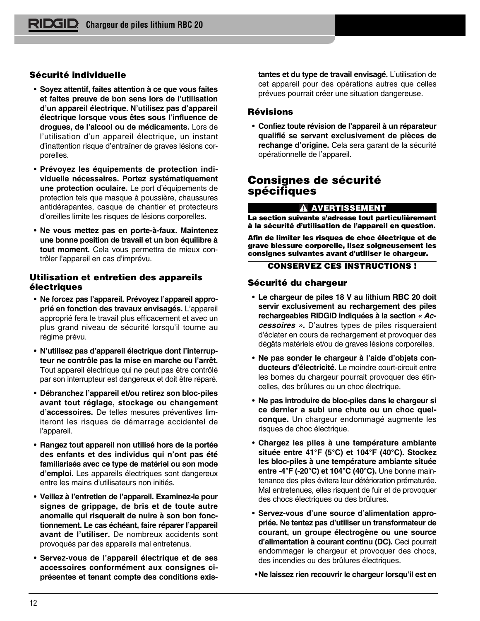## **Sécurité individuelle**

- **Soyez attentif, faites attention à ce que vous faites et faites preuve de bon sens lors de l'utilisation d'un appareil électrique. N'utilisez pas d'appareil électrique lorsque vous êtes sous l'influence de drogues, de l'alcool ou de médicaments.** Lors de l'utilisation d'un appareil électrique, un instant d'inattention risque d'entraîner de graves lésions corporelles.
- **Prévoyez les équipements de protection individuelle nécessaires. Portez systématiquement une protection oculaire.** Le port d'équipements de protection tels que masque à poussière, chaussures antidérapantes, casque de chantier et protecteurs d'oreilles limite les risques de lésions corporelles.
- **Ne vous mettez pas en porte-à-faux. Maintenez une bonne position de travail et un bon équilibre à tout moment.** Cela vous permettra de mieux contrôler l'appareil en cas d'imprévu.

## **Utilisation et entretien des appareils électriques**

- **Ne forcez pas l'appareil. Prévoyez l'appareil approprié en fonction des travaux envisagés.** L'appareil approprié fera le travail plus efficacement et avec un plus grand niveau de sécurité lorsqu'il tourne au régime prévu.
- **N'utilisez pas d'appareil électrique dont l'interrup teur ne contrôle pas la mise en marche ou l'arrêt.** Tout appareil électrique qui ne peut pas être contrôlé par son interrupteur est dangereux et doit être réparé.
- **Débranchez l'appareil et/ou retirez son bloc-piles avant tout réglage, stockage ou changement d'accessoires.** De telles mesures préventives limiteront les risques de démarrage accidentel de l'appareil.
- **Rangez tout appareil non utilisé hors de la portée des enfants et des individus qui n'ont pas été familiarisés avec ce type de matériel ou son mode d'emploi.** Les appareils électriques sont dangereux entre les mains d'utilisateurs non initiés.
- **Veillez à l'entretien de l'appareil. Examinez-le pour signes de grippage, de bris et de toute autre anomalie qui risquerait de nuire à son bon fonctionnement. Le cas échéant, faire réparer l'appareil avant de l'utiliser.** De nombreux accidents sont provoqués par des appareils mal entretenus.
- **Servez-vous de l'appareil électrique et de ses accessoires conformément aux consignes ciprésentes et tenant compte des conditions exis-**

**tantes et du type de travail envisagé.** L'utilisation de cet appareil pour des opérations autres que celles prévues pourrait créer une situation dangereuse.

## **Révisions**

• **Confiez toute révision de l'appareil à un réparateur qualifié se servant exclusivement de pièces de rechange d'origine.** Cela sera garant de la sécurité opérationnelle de l'appareil.

## **Consignes de sécurité spécifiques**

## **AVERTISSEMENT**

**La section suivante s'adresse tout particulièrement à la sécurité d'utilisation de l'appareil en question.**

**Afin de limiter les risques de choc électrique et de grave blessure corporelle, lisez soigneusement les consignes suivantes avant d'utiliser le chargeur.**

## **CONSERVEZ CES INSTRUCTIONS !**

## **Sécurité du chargeur**

- **Le chargeur de piles 18 V au lithium RBC 20 doit servir exclusivement au rechargement des piles rechargeables RIDGID indiquées à la section « Ac**  cessoires ». D'autres types de piles risqueraient d'éclater en cours de rechargement et provoquer des dégâts matériels et/ou de graves lésions corporelles.
- **Ne pas sonder le chargeur à l'aide d'objets conducteurs d'électricité.** Le moindre court-circuit entre les bornes du chargeur pourrait provoquer des étincelles, des brûlures ou un choc électrique.
- **Ne pas introduire de bloc-piles dans le chargeur si ce dernier a subi une chute ou un choc quelconque.** Un chargeur endommagé augmente les risques de choc électrique.
- **Chargez les piles à une température ambiante située entre 41°F (5°C) et 104°F (40°C). Stockez les bloc-piles à une température ambiante située entre -4°F (-20°C) et 104°C (40°C).** Une bonne maintenance des piles évitera leur détérioration prématurée. Mal entretenues, elles risquent de fuir et de provoquer des chocs électriques ou des brûlures.
- **Servez-vous d'une source d'alimentation appropriée. Ne tentez pas d'utiliser un transformateur de courant, un groupe électrogène ou une source d'alimentation à courant continu (DC).** Ceci pourrait endommager le chargeur et provoquer des chocs, des incendies ou des brûlures électriques.

<sup>•</sup>**Ne laissez rien recouvrir le chargeur lorsqu'il est en**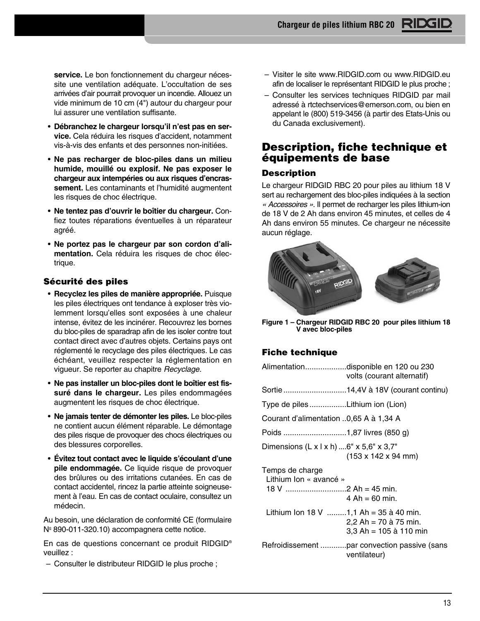service. Le bon fonctionnement du chargeur nécessite une ventilation adéquate. L'occultation de ses arrivées d'air pourrait provoquer un incendie. Allouez un vide minimum de 10 cm (4") autour du chargeur pour lui assurer une ventilation suffisante.

- **Débranchez le chargeur lorsqu'il n'est pas en service.** Cela réduira les risques d'accident, notamment vis-à-vis des enfants et des personnes non-initiées.
- **Ne pas recharger de bloc-piles dans un milieu hu mide, mouillé ou explosif. Ne pas exposer le chargeur aux intempéries ou aux risques d'encras sement.** Les contaminants et l'humidité augmentent les risques de choc électrique.
- **Ne tentez pas d'ouvrir le boîtier du chargeur.** Con fiez toutes réparations éventuelles à un réparateur agréé.
- **Ne portez pas le chargeur par son cordon d'ali mentation.** Cela réduira les risques de choc électrique.

## **Sécurité des piles**

- **Recyclez les piles de manière appropriée.** Puisque les piles électriques ont tendance à exploser très violemment lorsqu'elles sont exposées à une chaleur intense, évitez de les incinérer. Recouvrez les bornes du bloc-piles de sparadrap afin de les isoler contre tout contact direct avec d'autres objets. Certains pays ont réglementé le recyclage des piles électriques. Le cas échéant, veuillez respecter la réglementation en vigueur. Se reporter au chapitre Recyclage.
- **Ne pas installer un bloc-piles dont le boîtier est fissuré dans le chargeur.** Les piles endommagées augmentent les risques de choc électrique.
- **Ne jamais tenter de démonter les piles.** Le bloc-piles ne contient aucun élément réparable. Le démontage des piles risque de provoquer des chocs électriques ou des blessures corporelles.
- **Évitez tout contact avec le liquide s'écoulant d'une pile endommagée.** Ce liquide risque de provoquer des brûlures ou des irritations cutanées. En cas de contact accidentel, rincez la partie atteinte soigneusement à l'eau. En cas de contact oculaire, consultez un médecin.

Au besoin, une déclaration de conformité CE (formulaire Nº 890-011-320.10) accompagnera cette notice.

En cas de questions concernant ce produit RIDGID® veuillez :

– Consulter le distributeur RIDGID le plus proche ;

- Visiter le site www.RIDGID.com ou www.RIDGID.eu afin de localiser le représentant RIDGID le plus proche ;
- Consulter les services techniques RIDGID par mail adressé à rtctechservices@emerson.com, ou bien en appelant le (800) 519-3456 (à partir des Etats-Unis ou du Canada exclusivement).

## **Description, fiche technique et équipements de base**

## **Description**

Le chargeur RIDGID RBC 20 pour piles au lithium 18 V sert au rechargement des bloc-piles indiquées à la section « Accessoires ». Il permet de recharger les piles lithium-ion de 18 V de 2 Ah dans environ 45 minutes, et celles de 4 Ah dans environ 55 minutes. Ce chargeur ne nécessite aucun réglage.



**Figure 1 – Chargeur RIDGID RBC 20 pour piles lithium 18 V avec bloc-piles**

## **Fiche technique**

| Alimentationdisponible en 120 ou 230<br>volts (courant alternatif)                             |
|------------------------------------------------------------------------------------------------|
|                                                                                                |
| Type de piles Lithium ion (Lion)                                                               |
| Courant d'alimentation 0,65 A à 1,34 A                                                         |
|                                                                                                |
| Dimensions $(L \times L \times h)$ 6" x 5,6" x 3,7"<br>$(153 \times 142 \times 94 \text{ mm})$ |
| Temps de charge<br>Lithium Ion « avancé »                                                      |
| $4 Ah = 60 min.$                                                                               |
| Lithium Ion 18 V 1, 1 Ah = 35 à 40 min.<br>2,2 Ah = 70 à 75 min.<br>3,3 Ah = 105 à 110 min     |
| Refroidissement par convection passive (sans<br>ventilateur)                                   |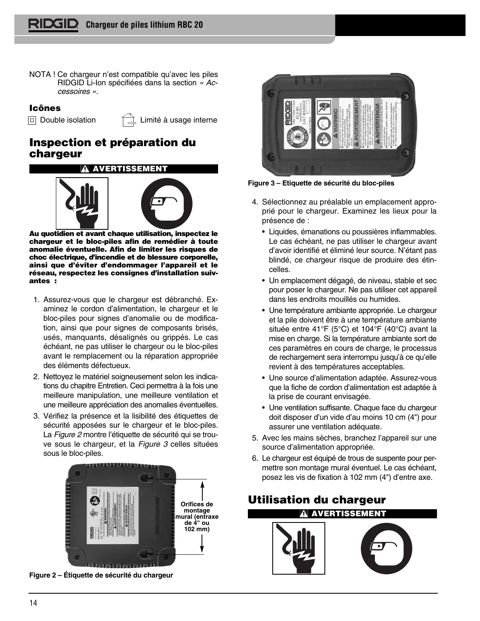NOTA ! Ce chargeur n'est compatible qu'avec les piles RIDGID Li-Ion spécifiées dans la section « Accessoires ».

## **Icônes**

 $\Box$  Double isolation

Limité à usage interne

## **Inspection et préparation du chargeur**

**AVERTISSEMENT**



**Au quotidien et avant chaque utilisation, inspectez le chargeur et le bloc-piles afin de remédier à toute anomalie éventuelle. Afin de limiter les risques de choc électrique, d'incendie et de blessure corporelle, ainsi que d'éviter d'endommager l'appareil et le réseau, respectez les consignes d'installation suivantes :**

- 1. Assurez-vous que le chargeur est débranché. Examinez le cordon d'alimentation, le chargeur et le bloc-piles pour signes d'anomalie ou de modification, ainsi que pour signes de composants brisés, usés, manquants, désalignés ou grippés. Le cas échéant, ne pas utiliser le chargeur ou le bloc-piles avant le remplacement ou la réparation appropriée des éléments défectueux.
- 2. Nettoyez le matériel soigneusement selon les indications du chapitre Entretien. Ceci permettra à la fois une meilleure manipulation, une meilleure ventilation et une meilleure appréciation des anomalies éventuelles.
- 3. Vérifiez la présence et la lisibilité des étiquettes de sécurité apposées sur le chargeur et le bloc-piles. La Figure 2 montre l'étiquette de sécurité qui se trouve sous le chargeur, et la Figure 3 celles situées sous le bloc-piles.



**Figure 2 – Étiquette de sécurité du chargeur**



**Figure 3 – Étiquette de sécurité du bloc-piles**

- 4. Sélectionnez au préalable un emplacement approprié pour le chargeur. Examinez les lieux pour la présence de :
	- Liquides, émanations ou poussières inflammables. Le cas échéant, ne pas utiliser le chargeur avant d'avoir identifié et éliminé leur source. N'étant pas blindé, ce chargeur risque de produire des étincelles.
	- Un emplacement dégagé, de niveau, stable et sec pour poser le chargeur. Ne pas utiliser cet appareil dans les endroits mouillés ou humides.
	- Une température ambiante appropriée. Le chargeur et la pile doivent être à une température ambiante située entre 41°F (5°C) et 104°F (40°C) avant la mise en charge. Si la température ambiante sort de ces paramètres en cours de charge, le processus de rechargement sera interrompu jusqu'à ce qu'elle revient à des températures acceptables.
	- Une source d'alimentation adaptée. Assurez-vous que la fiche de cordon d'alimentation est adaptée à la prise de courant envisagée.
	- Une ventilation suffisante. Chaque face du chargeur doit disposer d'un vide d'au moins 10 cm (4") pour assurer une ventilation adéquate.
- 5. Avec les mains sèches, branchez l'appareil sur une source d'alimentation appropriée.
- 6. Le chargeur est équipé de trous de suspente pour permettre son montage mural éventuel. Le cas échéant, posez les vis de fixation à 102 mm (4") d'entre axe.

## **Utilisation du chargeur**

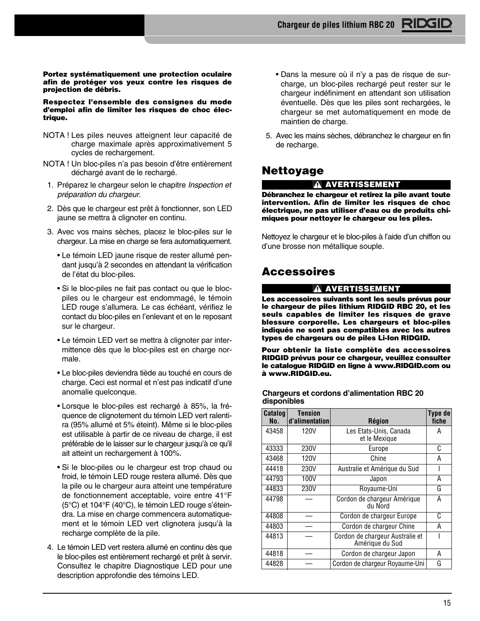#### **Portez systématiquement une protection oculaire afin de protéger vos yeux contre les risques de projection de débris.**

**Respectez l'ensemble des consignes du mode d'emploi afin de limiter les risques de choc électrique.**

- NOTA ! Les piles neuves atteignent leur capacité de charge maximale après approximativement 5 cycles de rechargement.
- NOTA ! Un bloc-piles n'a pas besoin d'être entièrement déchargé avant de le rechargé.
- 1. Préparez le chargeur selon le chapitre Inspection et préparation du chargeur.
- 2. Dès que le chargeur est prêt à fonctionner, son LED jaune se mettra à clignoter en continu.
- 3. Avec vos mains sèches, placez le bloc-piles sur le chargeur. La mise en charge se fera automatiquement.
	- Le témoin LED jaune risque de rester allumé pendant jusqu'à 2 secondes en attendant la vérification de l'état du bloc-piles.
	- Si le bloc-piles ne fait pas contact ou que le blocpiles ou le chargeur est endommagé, le témoin LED rouge s'allumera. Le cas échéant, vérifiez le contact du bloc-piles en l'enlevant et en le reposant sur le chargeur.
	- Le témoin LED vert se mettra à clignoter par intermittence dès que le bloc-piles est en charge normale.
	- Le bloc-piles deviendra tiède au touché en cours de charge. Ceci est normal et n'est pas indicatif d'une anomalie quelconque.
	- Lorsque le bloc-piles est rechargé à 85%, la fré quence de clignotement du témoin LED vert ralentira (95% allumé et 5% éteint). Même si le bloc-piles est utilisable à partir de ce niveau de charge, il est préférable de le laisser sur le chargeur jusqu'à ce qu'il ait atteint un rechargement à 100%.
	- Si le bloc-piles ou le chargeur est trop chaud ou froid, le témoin LED rouge restera allumé. Dès que la pile ou le chargeur aura atteint une température de fonctionnement acceptable, voire entre 41°F (5°C) et 104°F (40°C), le témoin LED rouge s'étein dra. La mise en charge commencera automatiquement et le témoin LED vert clignotera jusqu'à la recharge complète de la pile.
- 4. Le témoin LED vert restera allumé en continu dès que le bloc-piles est entièrement rechargé et prêt à servir. Consultez le chapitre Diagnostique LED pour une description approfondie des témoins LED.
- Dans la mesure où il n'y a pas de risque de surcharge, un bloc-piles rechargé peut rester sur le chargeur indéfiniment en attendant son utilisation éventuelle. Dès que les piles sont rechargées, le chargeur se met automatiquement en mode de maintien de charge.
- 5. Avec les mains sèches, débranchez le chargeur en fin de recharge.

## **Nettoyage**

#### **AVERTISSEMENT**

**Débranchez le chargeur et retirez la pile avant toute intervention. Afin de limiter les risques de choc électrique, ne pas utiliser d'eau ou de produits chi miques pour nettoyer le chargeur ou les piles.**

Nettoyez le chargeur et le bloc-piles à l'aide d'un chiffon ou d'une brosse non métallique souple.

## **Accessoires**

#### **AVERTISSEMENT**

**Les accessoires suivants sont les seuls prévus pour le chargeur de piles lithium RIDGID RBC 20, et les seuls capables de limiter les risques de grave blessure corporelle. Les chargeurs et bloc-piles indiqués ne sont pas compatibles avec les autres types de chargeurs ou de piles Li-Ion RIDGID.**

**Pour obtenir la liste complète des accessoires RIDGID prévus pour ce chargeur, veuillez consulter le catalogue RIDGID en ligne à www.RIDGID.com ou à www.RIDGID.eu.**

#### **Chargeurs et cordons d'alimentation RBC 20 disponibles**

| Catalog<br>No. | <b>Tension</b><br>d'alimentation | Région                                             | Type de<br>fiche |
|----------------|----------------------------------|----------------------------------------------------|------------------|
| 43458          | 120V                             | Les Etats-Unis, Canada<br>et le Mexique            | А                |
| 43333          | 230V                             | Europe                                             | C                |
| 43468          | 120V                             | Chine                                              | А                |
| 44418          | 230V                             | Australie et Amérique du Sud                       |                  |
| 44793          | 100V                             | Japon                                              | А                |
| 44833          | 230V                             | Royaume-Uni                                        | G                |
| 44798          |                                  | Cordon de chargeur Amérique<br>du Nord             | А                |
| 44808          |                                  | Cordon de chargeur Europe                          | C                |
| 44803          |                                  | Cordon de chargeur Chine                           | А                |
| 44813          |                                  | Cordon de chargeur Australie et<br>Amérique du Sud |                  |
| 44818          |                                  | Cordon de chargeur Japon                           | А                |
| 44828          |                                  | Cordon de chargeur Royaume-Uni                     | G                |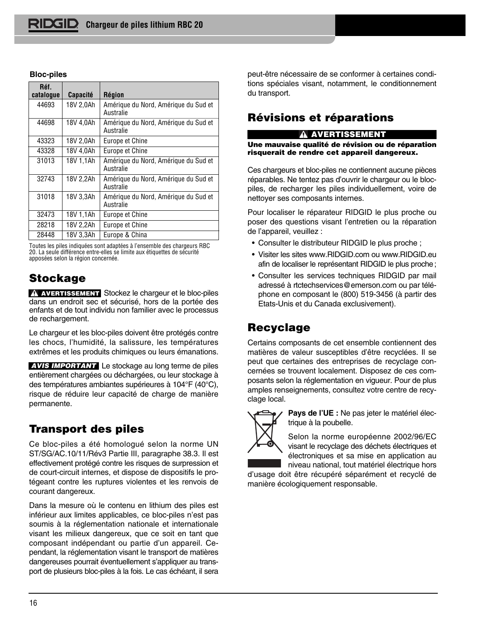#### **Bloc-piles**

| Réf.<br>catalogue | <b>Capacité</b> | Région                                            |
|-------------------|-----------------|---------------------------------------------------|
| 44693             | 18V 2.0Ah       | Amérique du Nord, Amérique du Sud et<br>Australie |
| 44698             | 18V 4,0Ah       | Amérique du Nord, Amérique du Sud et<br>Australie |
| 43323             | 18V 2,0Ah       | Europe et Chine                                   |
| 43328             | 18V 4.0Ah       | Europe et Chine                                   |
| 31013             | 18V 1,1Ah       | Amérique du Nord, Amérique du Sud et<br>Australie |
| 32743             | 18V 2,2Ah       | Amérique du Nord, Amérique du Sud et<br>Australie |
| 31018             | 18V 3,3Ah       | Amérique du Nord, Amérique du Sud et<br>Australie |
| 32473             | 18V 1.1Ah       | Europe et Chine                                   |
| 28218             | 18V 2,2Ah       | Europe et Chine                                   |
| 28448             | 18V 3,3Ah       | Europe & China                                    |

Toutes les piles indiquées sont adaptées à l'ensemble des chargeurs RBC 20. La seule différence entre-elles se limite aux étiquettes de sécurité apposées selon la région concernée.

## **Stockage**

**AVERTISSEMENT** Stockez le chargeur et le bloc-piles dans un endroit sec et sécurisé, hors de la portée des enfants et de tout individu non familier avec le processus de rechargement.

Le chargeur et les bloc-piles doivent être protégés contre les chocs, l'humidité, la salissure, les températures extrêmes et les produits chimiques ou leurs émanations.

**AVIS IMPORTANT** Le stockage au long terme de piles entièrement chargées ou déchargées, ou leur stockage à des températures ambiantes supérieures à 104°F (40°C), risque de réduire leur capacité de charge de manière permanente.

## **Transport des piles**

Ce bloc-piles a été homologué selon la norme UN ST/SG/AC.10/11/Rév3 Partie III, paragraphe 38.3. Il est effectivement protégé contre les risques de surpression et de court-circuit internes, et dispose de dispositifs le protégeant contre les ruptures violentes et les renvois de courant dangereux.

Dans la mesure où le contenu en lithium des piles est inférieur aux limites applicables, ce bloc-piles n'est pas soumis à la réglementation nationale et internationale visant les milieux dangereux, que ce soit en tant que composant indépendant ou partie d'un appareil. Cependant, la réglementation visant le transport de matières dangereuses pourrait éventuellement s'appliquer au transport de plusieurs bloc-piles à la fois. Le cas échéant, il sera

peut-être nécessaire de se conformer à certaines conditions spéciales visant, notamment, le conditionnement du transport.

## **Révisions et réparations**

#### **AVERTISSEMENT**

**Une mauvaise qualité de révision ou de réparation risquerait de rendre cet appareil dangereux.**

Ces chargeurs et bloc-piles ne contiennent aucune pièces réparables. Ne tentez pas d'ouvrir le chargeur ou le blocpiles, de recharger les piles individuellement, voire de nettoyer ses composants internes.

Pour localiser le réparateur RIDGID le plus proche ou poser des questions visant l'entretien ou la réparation de l'appareil, veuillez :

- Consulter le distributeur RIDGID le plus proche ;
- Visiter les sites www.RIDGID.com ou www.RIDGID.eu afin de localiser le représentant RIDGID le plus proche;
- Consulter les services techniques RIDGID par mail adressé à rtctechservices@emerson.com ou par téléphone en composant le (800) 519-3456 (à partir des Etats-Unis et du Canada exclusivement).

## **Recyclage**

Certains composants de cet ensemble contiennent des matières de valeur susceptibles d'être recyclées. Il se peut que certaines des entreprises de recyclage concernées se trouvent localement. Disposez de ces composants selon la réglementation en vigueur. Pour de plus amples renseignements, consultez votre centre de recyclage local.



**Pays de l'UE :** Ne pas jeter le matériel électrique à la poubelle.

Selon la norme européenne 2002/96/EC visant le recyclage des déchets électriques et électroniques et sa mise en application au

niveau national, tout matériel électrique hors d'usage doit être récupéré séparément et recyclé de manière écologiquement responsable.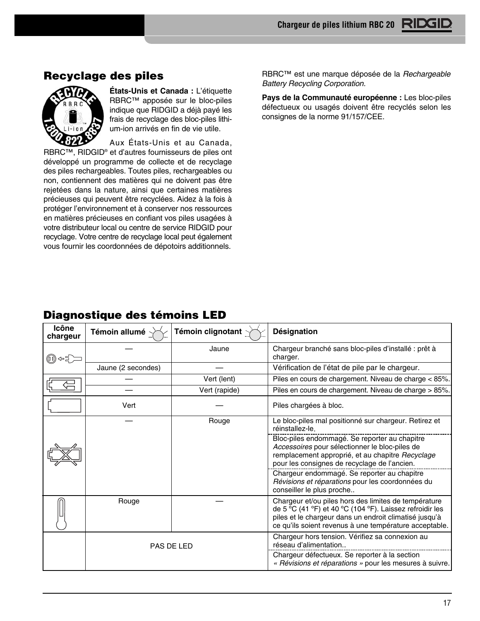## **Recyclage des piles**



**États-Unis et Canada :** L'étiquette RBRC™ apposée sur le bloc-piles indique que RIDGID a déjà payé les frais de recyclage des bloc-piles lithium-ion arrivés en fin de vie utile.

Aux États-Unis et au Canada,

RBRC™, RIDGID® et d'autres fournisseurs de piles ont développé un programme de collecte et de recyclage des piles rechargeables. Toutes piles, rechargeables ou non, contiennent des matières qui ne doivent pas être rejetées dans la nature, ainsi que certaines matières précieuses qui peuvent être recyclées. Aidez à la fois à protéger l'environnement et à conserver nos ressources en matières précieuses en confiant vos piles usagées à votre distributeur local ou centre de service RIDGID pour recyclage. Votre centre de recyclage local peut également vous fournir les coordonnées de dépotoirs additionnels.

RBRC™ est une marque déposée de la Rechargeable Battery Recycling Corporation.

**Pays de la Communauté européenne :** Les bloc-piles défectueux ou usagés doivent être recyclés selon les consignes de la norme 91/157/CEE.

## **Diagnostique des témoins LED**

| Icône<br>chargeur | Témoin allumé      | Témoin clignotant | <b>Désignation</b>                                                                                                                                                                                                                   |
|-------------------|--------------------|-------------------|--------------------------------------------------------------------------------------------------------------------------------------------------------------------------------------------------------------------------------------|
| (0)⇔≦ 1           |                    | Jaune             | Chargeur branché sans bloc-piles d'installé : prêt à<br>charger.                                                                                                                                                                     |
|                   | Jaune (2 secondes) |                   | Vérification de l'état de pile par le chargeur.                                                                                                                                                                                      |
|                   |                    | Vert (lent)       | Piles en cours de chargement. Niveau de charge < 85%.                                                                                                                                                                                |
|                   |                    | Vert (rapide)     | Piles en cours de chargement. Niveau de charge > 85%.                                                                                                                                                                                |
|                   | Vert               |                   | Piles chargées à bloc.                                                                                                                                                                                                               |
|                   |                    | Rouge             | Le bloc-piles mal positionné sur chargeur. Retirez et<br>réinstallez-le.                                                                                                                                                             |
|                   |                    |                   | Bloc-piles endommagé. Se reporter au chapitre<br>Accessoires pour sélectionner le bloc-piles de<br>remplacement approprié, et au chapitre Recyclage<br>pour les consignes de recyclage de l'ancien.                                  |
|                   |                    |                   | Chargeur endommagé. Se reporter au chapitre<br>Révisions et réparations pour les coordonnées du<br>conseiller le plus proche                                                                                                         |
|                   | Rouge              |                   | Chargeur et/ou piles hors des limites de température<br>de 5 °C (41 °F) et 40 °C (104 °F). Laissez refroidir les<br>piles et le chargeur dans un endroit climatisé jusqu'à<br>ce qu'ils soient revenus à une température acceptable. |
|                   | <b>PAS DE LED</b>  |                   | Chargeur hors tension. Vérifiez sa connexion au<br>réseau d'alimentation                                                                                                                                                             |
|                   |                    |                   | Chargeur défectueux. Se reporter à la section<br>« Révisions et réparations » pour les mesures à suivre.                                                                                                                             |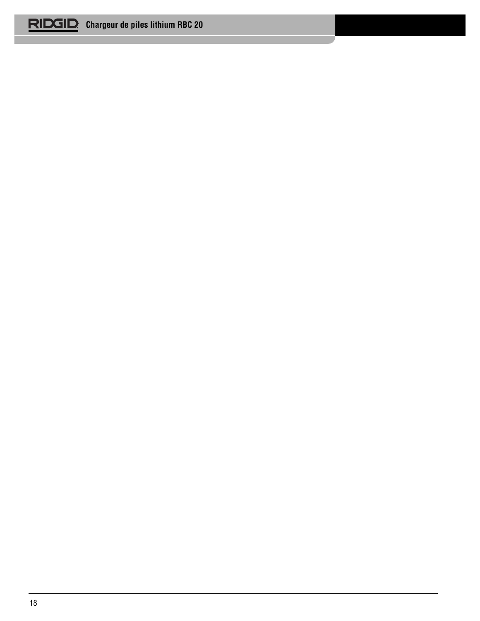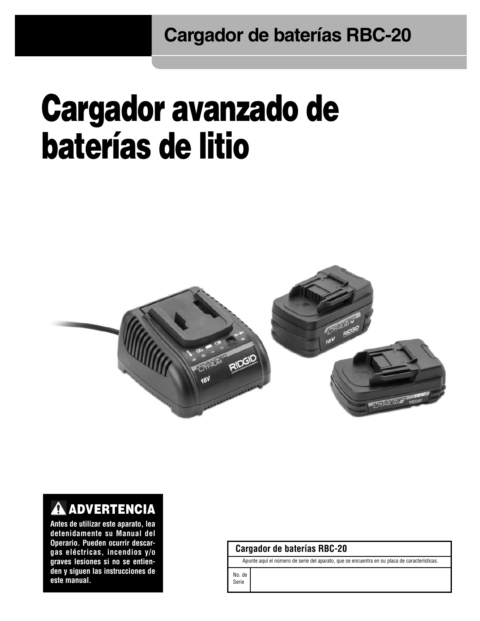**Cargador de baterías RBC-20**

# **Cargador avanzado de baterías de litio**



## **ADVERTENCIA**

**Antes de utilizar este aparato, lea detenidamente su Manual del Operario. Pueden ocurrir descargas eléctricas, incendios y/o graves lesiones si no se entien**den y siguen las instrucciones de **este manual.**

## **Cargador de baterías RBC-20**

Apunte aquí el número de serie del aparato, que se encuentra en su placa de características.

No. de

Serie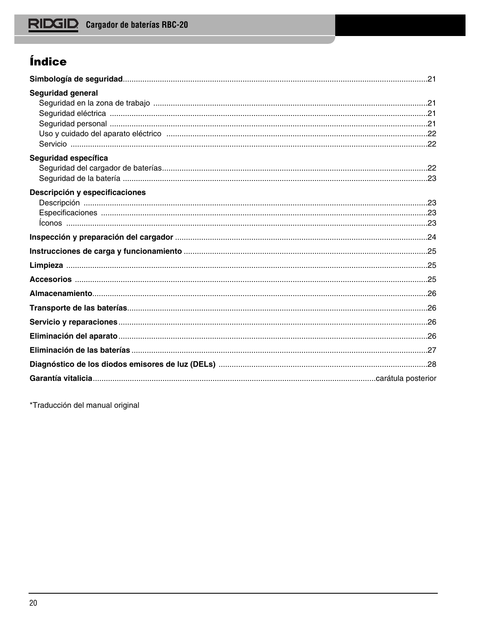## Índice

| Seguridad general              |  |
|--------------------------------|--|
|                                |  |
|                                |  |
|                                |  |
| Seguridad específica           |  |
|                                |  |
| Descripción y especificaciones |  |
|                                |  |
|                                |  |
|                                |  |
|                                |  |
|                                |  |
|                                |  |
|                                |  |
|                                |  |
|                                |  |
|                                |  |
|                                |  |
|                                |  |
|                                |  |
|                                |  |
|                                |  |

\*Traducción del manual original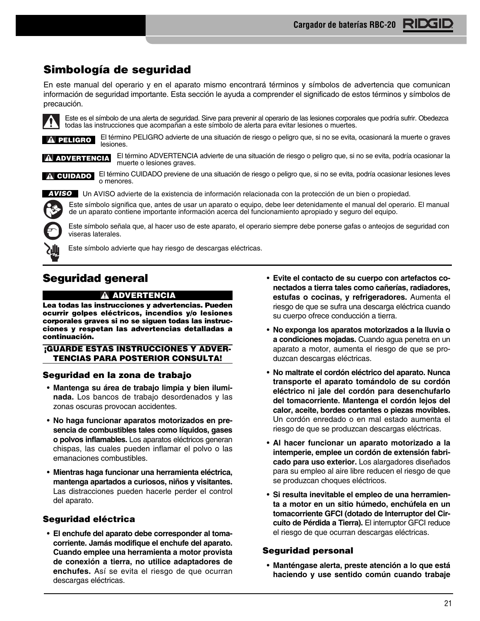## **Simbología de seguridad**

En este manual del operario y en el aparato mismo encontrará términos y símbolos de advertencia que comunican información de seguridad importante. Esta sección le ayuda a comprender el significado de estos términos y símbolos de precaución.



Este es el símbolo de una alerta de seguridad. Sirve para prevenir al operario de las lesiones corporales que podría sufrir. Obedezca todas las instrucciones que acompañan a este símbolo de alerta para evitar lesiones o muertes.



El término PELIGRO advierte de una situación de riesgo o peligro que, si no se evita, ocasionará la muerte o graves lesiones.

El término ADVERTENCIA advierte de una situación de riesgo o peligro que, si no se evita, podría ocasionar la muerte o lesiones graves. **ADVERTENCIA**

El término CUIDADO previene de una situación de riesgo o peligro que, si no se evita, podría ocasionar lesiones leves **CUIDADO**o menores.

**AVISO** Un AVISO advierte de la existencia de información relacionada con la protección de un bien o propiedad.



Este símbolo significa que, antes de usar un aparato o equipo, debe leer detenidamente el manual del operario. El manual de un aparato contiene importante información acerca del funcionamiento apropiado y seguro del equipo.

Este símbolo señala que, al hacer uso de este aparato, el operario siempre debe ponerse gafas o anteojos de seguridad con viseras laterales.



Este símbolo advierte que hay riesgo de descargas eléctricas.

## **Seguridad general**

## **ADVERTENCIA**

**Lea todas las instrucciones y advertencias. Pueden ocu rrir golpes eléctricos, incendios y/o lesiones corporales graves si no se siguen todas las instrucciones y respetan las advertencias detalladas a continuación.**

#### **¡GUARDE ESTAS INSTRUCCIONES Y ADVER-TENCIAS PARA POSTERIOR CONSULTA!**

## **Seguridad en la zona de trabajo**

- **Mantenga su área de trabajo limpia y bien iluminada.** Los bancos de trabajo desordenados y las zonas oscuras provocan accidentes.
- **No haga funcionar aparatos motorizados en pre sencia de combustibles tales como líquidos, gases o polvos inflamables.** Los aparatos eléctricos generan chispas, las cuales pueden inflamar el polvo o las emanaciones combustibles.
- **Mientras haga funcionar una herramienta eléctrica, mantenga apartados a curiosos, niños y visitantes.** Las distracciones pueden hacerle perder el control del aparato.

## **Seguridad eléctrica**

• **El enchufe del aparato debe corresponder al tomacorriente. Jamás modifique el enchufe del aparato. Cuando emplee una herramienta a motor provista de conexión a tierra, no utilice adaptadores de enchufes.** Así se evita el riesgo de que ocurran descargas eléctricas.

- **Evite el contacto de su cuerpo con artefactos co nectados a tierra tales como cañerías, radia dores,** estufas o cocinas, y refrigeradores. Aumenta el riesgo de que se sufra una descarga eléctrica cuando su cuerpo ofrece conducción a tierra.
- **No exponga los aparatos motorizados a la lluvia o a condiciones mojadas.** Cuando agua penetra en un aparato a motor, aumenta el riesgo de que se produzcan descargas eléctricas.
- **No maltrate el cordón eléctrico del aparato. Nunca transporte el aparato tomándolo de su cordón eléctrico ni jale del cordón para desenchufarlo del tomacorriente. Mantenga el cordón lejos del calor, aceite, bordes cortantes o piezas movibles.** Un cordón enredado o en mal estado aumenta el riesgo de que se produzcan descargas eléctricas.
- **Al hacer funcionar un aparato motorizado a la intemperie, emplee un cordón de extensión fabricado para uso exterior.** Los alargadores diseñados para su empleo al aire libre reducen el riesgo de que se produzcan choques eléctricos.
- **Si resulta inevitable el empleo de una herramienta a motor en un sitio húmedo, enchúfela en un tomacorriente GFCI (dotado de Interruptor del Cir cuito de Pérdida a Tierra).** El interruptor GFCI reduce el riesgo de que ocurran descargas eléctricas.

#### **Seguridad personal**

• **Manténgase alerta, preste atención a lo que está haciendo y use sentido común cuando trabaje**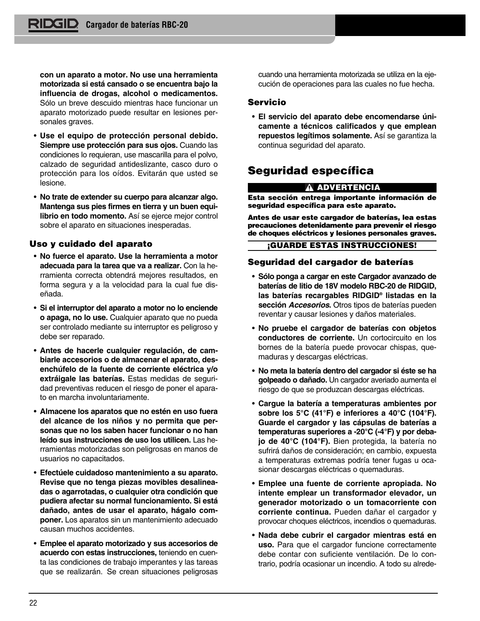**con un aparato a motor. No use una herramienta motorizada si está cansado o se encuentra bajo la influencia de drogas, alcohol o medicamentos.** Sólo un breve descuido mientras hace funcionar un aparato motorizado puede resultar en lesiones personales graves.

- **Use el equipo de protección personal debido.** Siempre use protección para sus ojos. Cuando las condiciones lo requieran, use mascarilla para el polvo, calzado de seguridad antideslizante, casco duro o protección para los oídos. Evitarán que usted se lesione.
- **No trate de extender su cuerpo para alcanzar algo.** Mantenga sus pies firmes en tierra y un buen equi**librio en todo momento.** Así se ejerce mejor control sobre el aparato en situaciones inesperadas.

## **Uso y cuidado del aparato**

- **No fuerce el aparato. Use la herramienta a motor adecuada para la tarea que va a realizar.** Con la herramienta correcta obtendrá mejores resultados, en forma segura y a la velocidad para la cual fue diseñada.
- **Si el interruptor del aparato a motor no lo enciende o apaga, no lo use.** Cualquier aparato que no pueda ser controlado mediante su interruptor es peligroso y debe ser reparado.
- **Antes de hacerle cualquier regulación, de cambiarle accesorios o de almacenar el aparato, desenchúfelo de la fuente de corriente eléctrica y/o extráigale las baterías.** Estas medidas de seguridad preventivas reducen el riesgo de poner el aparato en marcha involuntariamente.
- **Almacene los aparatos que no estén en uso fuera del alcance de los niños y no permita que personas que no los saben hacer funcionar o no han** leído sus instrucciones de uso los utilicen. Las herramientas motorizadas son peligrosas en manos de usuarios no capacitados.
- **Efectúele cuidadoso mantenimiento a su aparato.** Revise que no tenga piezas movibles desalinea**das o agarrotadas, o cualquier otra condición que pudiera afectar su normal funcionamiento. Si está dañado, antes de usar el aparato, hágalo componer.** Los aparatos sin un mantenimiento adecuado causan muchos accidentes.
- **Emplee el aparato motorizado y sus accesorios de acuerdo con estas instrucciones,** teniendo en cuenta las condiciones de trabajo imperantes y las tareas que se realizarán. Se crean situaciones peligrosas

cuando una herramienta motorizada se utiliza en la ejecución de operaciones para las cuales no fue hecha.

## **Servicio**

• **El servicio del aparato debe encomendarse únicamente a técnicos calificados y que emplean repuestos legítimos solamente.** Así se garantiza la continua seguridad del aparato.

## **Seguridad específica**

## **ADVERTENCIA**

**Esta sección entrega importante información de seguridad específica para este aparato.** 

**Antes de usar este cargador de baterías, lea estas precauciones detenidamente para prevenir el riesgo de choques eléctricos y lesiones personales graves.**

## **¡GUARDE ESTAS INSTRUCCIONES!**

## **Seguridad del cargador de baterías**

- **Sólo ponga a cargar en este Cargador avanzado de baterías de litio de 18V modelo RBC-20 de RIDGID, las baterías recargables RIDGID® listadas en la sección Accesorios.** Otros tipos de baterías pueden reventar y causar lesiones y daños materiales.
- **No pruebe el cargador de baterías con objetos conductores de corriente.** Un cortocircuito en los bornes de la batería puede provocar chispas, quemaduras y descargas eléctricas.
- **No meta la batería dentro del cargador si éste se ha golpeado o dañado.** Un cargador averiado aumenta el riesgo de que se produzcan descargas eléctricas.
- **Cargue la batería a temperaturas ambientes por sobre los 5°C (41°F) e inferiores a 40°C (104°F). Guarde el cargador y las cápsulas de baterías a temperaturas superiores a -20°C (-4°F) y por debajo de 40°C (104°F).** Bien protegida, la batería no sufrirá daños de consideración; en cambio, expuesta a temperaturas extremas podría tener fugas u ocasionar descargas eléctricas o quemaduras.
- **Emplee una fuente de corriente apropiada. No intente emplear un transformador elevador, un generador motorizado o un tomacorriente con corriente continua.** Pueden dañar el cargador y provocar choques eléctricos, incendios o quemaduras.
- **Nada debe cubrir el cargador mientras está en uso.** Para que el cargador funcione correctamente debe contar con suficiente ventilación. De lo contrario, podría ocasionar un incendio. A todo su alrede-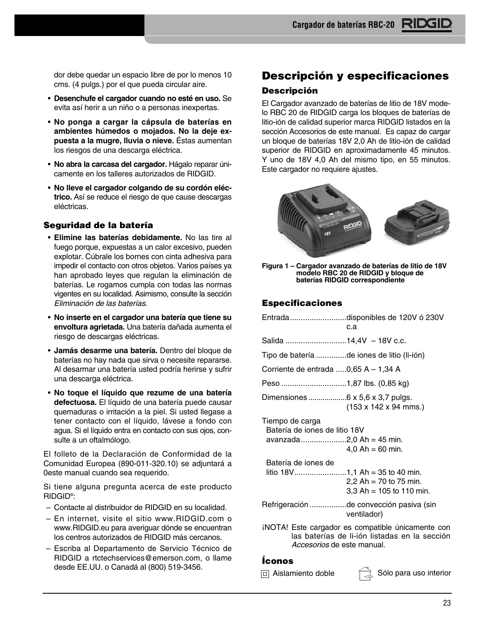dor debe quedar un espacio libre de por lo menos 10 cms. (4 pulgs.) por el que pueda circular aire.

- **Desenchufe el cargador cuando no esté en uso.** Se evita así herir a un niño o a personas inexpertas.
- **No ponga a cargar la cápsula de baterías en ambien tes húmedos o mojados. No la deje ex puesta a la mugre, lluvia o nieve.** Éstas aumentan los riesgos de una descarga eléctrica.
- **No abra la carcasa del cargador.** Hágalo reparar únicamente en los talleres autorizados de RIDGID.
- **No lleve el cargador colgando de su cordón eléctrico.** Así se reduce el riesgo de que cause descargas eléctricas.

## **Seguridad de la batería**

- **Elimine las baterías debidamente.** No las tire al fuego porque, expuestas a un calor excesivo, pueden explotar. Cúbrale los bornes con cinta adhesiva para impedir el contacto con otros objetos. Varios países ya han aprobado leyes que regulan la eliminación de baterías. Le rogamos cumpla con todas las normas vigentes en su localidad. Asimismo, consulte la sección Eliminación de las baterías.
- **No inserte en el cargador una batería que tiene su envoltura agrietada.** Una batería dañada aumenta el riesgo de descargas eléctricas.
- **Jamás desarme una batería.** Dentro del bloque de baterías no hay nada que sirva o necesite repararse. Al desarmar una batería usted podría herirse y sufrir una descarga eléctrica.
- **No toque el líquido que rezume de una batería defectuosa.** El líquido de una batería puede causar quemaduras o irritación a la piel. Si usted llegase a tener contacto con el líquido, lávese a fondo con agua. Si el líquido entra en contacto con sus ojos, consulte a un oftalmólogo.

El folleto de la Declaración de Conformidad de la Comunidad Europea (890-011-320.10) se adjuntará a 0este manual cuando sea requerido.

Si tiene alguna pregunta acerca de este producto RIDGID®:

- Contacte al distribuidor de RIDGID en su localidad.
- En internet, visite el sitio www.RIDGID.com o www.RIDGID.eu para averiguar dónde se encuentran los centros autorizados de RIDGID más cercanos.
- Escriba al Departamento de Servicio Técnico de RIDGID a rtctechservices@emerson.com, o llame desde EE.UU. o Canadá al (800) 519-3456.

## **Descripción y especificaciones Descripción**

El Cargador avanzado de baterías de litio de 18V modelo RBC 20 de RIDGID carga los bloques de baterías de litio-ión de calidad superior marca RIDGID listados en la sección Accesorios de este manual. Es capaz de cargar un bloque de baterías 18V 2,0 Ah de litio-ión de calidad superior de RIDGID en aproximadamente 45 minutos. Y uno de 18V 4,0 Ah del mismo tipo, en 55 minutos. Este cargador no requiere ajustes.



**Figura 1 – Cargador avanzado de baterías de litio de 18V modelo RBC 20 de RIDGID y bloque de baterías RIDGID correspondiente**

## **Especificaciones**

| Entradadisponibles de 120V ó 230V<br>c.a                                                           |  |  |  |  |
|----------------------------------------------------------------------------------------------------|--|--|--|--|
| Salida 14,4V - 18V c.c.                                                                            |  |  |  |  |
| Tipo de batería de iones de litio (li-ión)                                                         |  |  |  |  |
| Corriente de entrada $0,65$ A – 1,34 A                                                             |  |  |  |  |
| Peso 1,87 lbs. (0,85 kg)                                                                           |  |  |  |  |
| $(153 \times 142 \times 94 \text{ mms.})$                                                          |  |  |  |  |
| Tiempo de carga<br>Batería de iones de litio 18V<br>avanzada2,0 Ah = 45 min.<br>$4,0$ Ah = 60 min. |  |  |  |  |
| Batería de iones de<br>2,2 Ah = 70 to 75 min.<br>3,3 Ah = $105$ to 110 min.                        |  |  |  |  |
| Refrigeración de convección pasiva (sin<br>ventilador)                                             |  |  |  |  |
| INOTA! Este cargador es compatible únicamente con<br>las baterías de li-ión listadas en la sección |  |  |  |  |

Accesorios de este manual.

## **Íconos**

Aislamiento doble

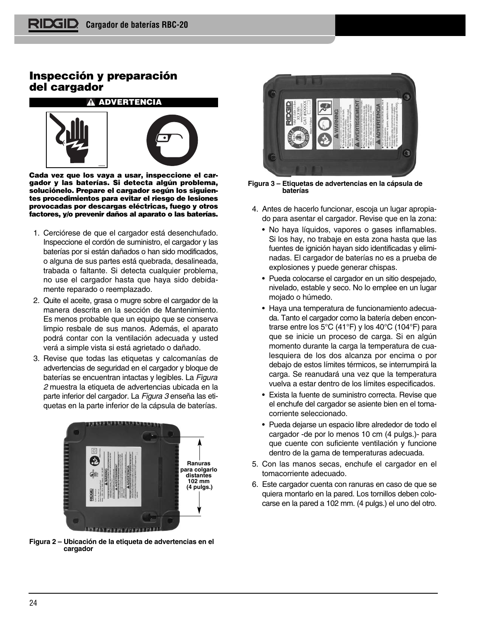## **Inspección y preparación del cargador**



**Cada vez que los vaya a usar, inspeccione el cargador y las baterías. Si detecta algún problema, soluciónelo. Prepare el cargador según los siguien tes procedimientos para evitar el riesgo de lesiones provocadas por descargas eléctricas, fuego y otros factores, y/o prevenir daños al aparato o las baterías.**

- 1. Cerciórese de que el cargador está desenchufado. Inspeccione el cordón de suministro, el cargador y las baterías por si están dañados o han sido modificados, o alguna de sus partes está quebrada, desalineada, trabada o faltante. Si detecta cualquier problema, no use el cargador hasta que haya sido debidamente reparado o reemplazado.
- 2. Quite el aceite, grasa o mugre sobre el cargador de la manera descrita en la sección de Mantenimiento. Es menos probable que un equipo que se conserva limpio resbale de sus manos. Además, el aparato podrá contar con la ventilación adecuada y usted verá a simple vista si está agrietado o dañado.
- 3. Revise que todas las etiquetas y calcomanías de advertencias de seguridad en el cargador y bloque de baterías se encuentran intactas y legibles. La Figura 2 muestra la etiqueta de advertencias ubicada en la parte inferior del cargador. La Figura 3 enseña las etiquetas en la parte inferior de la cápsula de baterías.



**Figura 2 – Ubicación de la etiqueta de advertencias en el cargador**



**Figura 3 – Etiquetas de advertencias en la cápsula de baterías**

- 4. Antes de hacerlo funcionar, escoja un lugar apropiado para asentar el cargador. Revise que en la zona:
	- No haya líquidos, vapores o gases inflamables. Si los hay, no trabaje en esta zona hasta que las fuentes de ignición hayan sido identificadas y eliminadas. El cargador de baterías no es a prueba de explosiones y puede generar chispas.
	- Pueda colocarse el cargador en un sitio despejado, nivelado, estable y seco. No lo emplee en un lugar mojado o húmedo.
	- Haya una temperatura de funcionamiento adecuada. Tanto el cargador como la batería deben encontrarse entre los 5°C (41°F) y los 40°C (104°F) para que se inicie un proceso de carga. Si en algún momento durante la carga la temperatura de cualesquiera de los dos alcanza por encima o por debajo de estos límites térmicos, se interrumpirá la carga. Se reanudará una vez que la temperatura vuelva a estar dentro de los límites especificados.
	- Exista la fuente de suministro correcta. Revise que el enchufe del cargador se asiente bien en el tomacorriente seleccionado.
	- Pueda dejarse un espacio libre alrededor de todo el cargador -de por lo menos 10 cm (4 pulgs.)- para que cuente con suficiente ventilación y funcione dentro de la gama de temperaturas adecuada.
- 5. Con las manos secas, enchufe el cargador en el tomacorriente adecuado.
- 6. Este cargador cuenta con ranuras en caso de que se quiera montarlo en la pared. Los tornillos deben colocarse en la pared a 102 mm. (4 pulgs.) el uno del otro.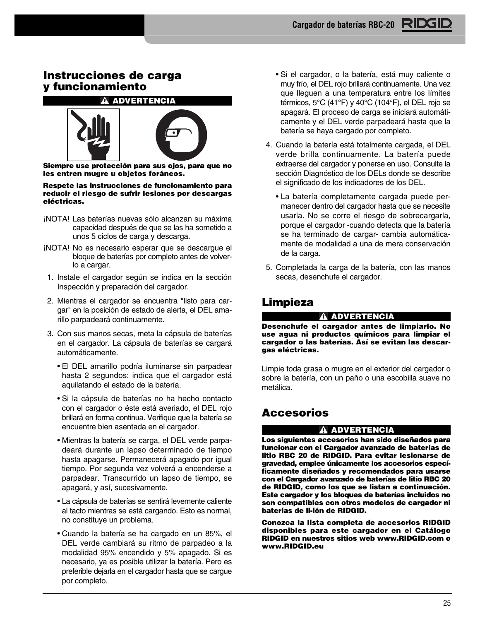## **Instrucciones de carga y funcionamiento**



**Siempre use protección para sus ojos, para que no les entren mugre u objetos foráneos.** 

#### **Respete las instrucciones de funcionamiento para reducir el riesgo de sufrir lesiones por descargas eléctricas.**

- ¡NOTA! Las baterías nuevas sólo alcanzan su máxima capacidad después de que se las ha sometido a unos 5 ciclos de carga y descarga.
- ¡NOTA! No es necesario esperar que se descargue el bloque de baterías por completo antes de volverlo a cargar.
- 1. Instale el cargador según se indica en la sección Inspección y preparación del cargador.
- 2. Mientras el cargador se encuentra "listo para cargar" en la posición de estado de alerta, el DEL amarillo parpadeará continuamente.
- 3. Con sus manos secas, meta la cápsula de baterías en el cargador. La cápsula de baterías se cargará automáticamente.
	- El DEL amarillo podría iluminarse sin parpadear hasta 2 segundos: indica que el cargador está aquilatando el estado de la batería.
	- Si la cápsula de baterías no ha hecho contacto con el cargador o éste está averiado, el DEL rojo brillará en forma continua. Verifique que la batería se encuentre bien asentada en el cargador.
	- Mientras la batería se carga, el DEL verde parpadeará durante un lapso determinado de tiempo hasta apagarse. Permanecerá apagado por igual tiempo. Por segunda vez volverá a encenderse a parpadear. Transcurrido un lapso de tiempo, se apagará, y así, sucesivamente.
	- La cápsula de baterías se sentirá levemente caliente al tacto mientras se está cargando. Esto es normal, no constituye un problema.
	- Cuando la batería se ha cargado en un 85%, el DEL verde cambiará su ritmo de parpadeo a la modalidad 95% encendido y 5% apagado. Si es necesario, ya es posible utilizar la batería. Pero es preferible dejarla en el cargador hasta que se cargue por completo.
- Si el cargador, o la batería, está muy caliente o muy frío, el DEL rojo brillará continuamente. Una vez que lleguen a una temperatura entre los límites térmicos, 5°C (41°F) y 40°C (104°F), el DEL rojo se apagará. El proceso de carga se iniciará automáticamente y el DEL verde parpadeará hasta que la batería se haya cargado por completo.
- 4. Cuando la batería está totalmente cargada, el DEL verde brilla continuamente. La batería puede extraerse del cargador y ponerse en uso. Consulte la sección Diagnóstico de los DELs donde se describe el significado de los indicadores de los DEL.
	- La batería completamente cargada puede permanecer dentro del cargador hasta que se necesite usarla. No se corre el riesgo de sobrecargarla, porque el cargador -cuando detecta que la batería se ha terminado de cargar- cambia automáticamente de modalidad a una de mera conservación de la carga.
- 5. Completada la carga de la batería, con las manos secas, desenchufe el cargador.

## **Limpieza**

## **ADVERTENCIA**

**Desenchufe el cargador antes de limpiarlo. No use agua ni productos químicos para limpiar el cargador o las baterías. Así se evitan las descargas eléctricas.**

Limpie toda grasa o mugre en el exterior del cargador o sobre la batería, con un paño o una escobilla suave no metálica.

## **Accesorios**

## **ADVERTENCIA**

**Los siguientes accesorios han sido diseñados para funcionar con el Cargador avanzado de baterías de litio RBC 20 de RIDGID. Para evitar lesionarse de gravedad, emplee únicamente los accesorios específicamente diseñados y recomendados para usarse con el Cargador avanzado de baterías de litio RBC 20 de RIDGID, como los que se listan a continuación. Este cargador y los bloques de baterías incluidos no son compatibles con otros modelos de cargador ni baterías de li-ión de RIDGID.**

**Conozca la lista completa de accesorios RIDGID disponibles para este cargador en el Catálogo RIDGID en nuestros sitios web www.RIDGID.com o www.RIDGID.eu**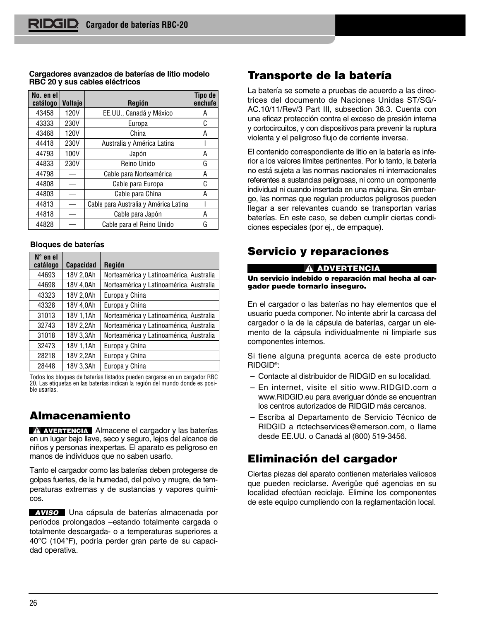#### **Cargadores avanzados de baterías de litio modelo RBC 20 y sus cables eléctricos**

| No. en el<br>catálogo | Voltaje | <b>Región</b>                         | Tipo de<br>enchufe |
|-----------------------|---------|---------------------------------------|--------------------|
| 43458                 | 120V    | EE.UU., Canadá y México               | A                  |
| 43333                 | 230V    | Europa                                | C                  |
| 43468                 | 120V    | China                                 | A                  |
| 44418                 | 230V    | Australia y América Latina            |                    |
| 44793                 | 100V    | Japón                                 | A                  |
| 44833                 | 230V    | Reino Unido                           | G                  |
| 44798                 |         | Cable para Norteamérica               | A                  |
| 44808                 |         | Cable para Europa                     | C                  |
| 44803                 |         | Cable para China                      | А                  |
| 44813                 |         | Cable para Australia y América Latina |                    |
| 44818                 |         | Cable para Japón                      |                    |
| 44828                 |         | Cable para el Reino Unido             | G                  |

#### **Bloques de baterías**

| $N^{\circ}$ en el<br>catálogo | <b>Capacidad</b> | Región                                  |
|-------------------------------|------------------|-----------------------------------------|
|                               |                  |                                         |
| 44693                         | 18V 2,0Ah        | Norteamérica y Latinoamérica, Australia |
| 44698                         | 18V 4,0Ah        | Norteamérica y Latinoamérica, Australia |
| 43323                         | 18V 2,0Ah        | Europa y China                          |
| 43328                         | 18V 4,0Ah        | Europa y China                          |
| 31013                         | 18V 1,1Ah        | Norteamérica y Latinoamérica, Australia |
| 32743                         | 18V 2,2Ah        | Norteamérica y Latinoamérica, Australia |
| 31018                         | 18V 3,3Ah        | Norteamérica y Latinoamérica, Australia |
| 32473                         | 18V 1,1Ah        | Europa y China                          |
| 28218                         | 18V 2,2Ah        | Europa y China                          |
| 28448                         | 18V 3,3Ah        | Europa y China                          |

Todos los bloques de baterías listados pueden cargarse en un cargador RBC 20. Las etiquetas en las baterías indican la región del mundo donde es posible usarlas.

## **Almacenamiento**

**AVERTENCIA** Almacene el cargador y las baterías en un lugar bajo llave, seco y seguro, lejos del alcance de niños y personas inexpertas. El aparato es peligroso en manos de individuos que no saben usarlo.

Tanto el cargador como las baterías deben protegerse de golpes fuertes, de la humedad, del polvo y mugre, de temperaturas extremas y de sustancias y vapores químicos.

Una cápsula de baterías almacenada por **AVISO**períodos prolongados –estando totalmente cargada o totalmente descargada- o a temperaturas superiores a 40°C (104°F), podría perder gran parte de su capacidad operativa.

## **Transporte de la batería**

La batería se somete a pruebas de acuerdo a las directrices del documento de Naciones Unidas ST/SG/-AC.10/11/ Rev/3 Part III, subsection 38.3. Cuenta con una eficaz protección contra el exceso de presión interna y cortocircuitos, y con dispositivos para prevenir la ruptura violenta y el peligroso flujo de corriente inversa.

El contenido correspondiente de litio en la batería es inferior a los valores límites pertinentes. Por lo tanto, la batería no está sujeta a las normas nacionales ni internacionales referentes a sustancias peligrosas, ni como un componente individual ni cuando insertada en una máquina. Sin embargo, las normas que regulan productos peligrosos pueden llegar a ser relevantes cuando se transportan varias baterías. En este caso, se deben cumplir ciertas condiciones especiales (por ej., de empaque).

## **Servicio y reparaciones**

## **ADVERTENCIA**

**Un servicio indebido o reparación mal hecha al cargador puede tornarlo inseguro.**

En el cargador o las baterías no hay elementos que el usuario pueda componer. No intente abrir la carcasa del cargador o la de la cápsula de baterías, cargar un elemento de la cápsula individualmente ni limpiarle sus componentes internos.

Si tiene alguna pregunta acerca de este producto RIDGID®:

- Contacte al distribuidor de RIDGID en su localidad.
- En internet, visite el sitio www.RIDGID.com o www.RIDGID.eu para averiguar dónde se encuentran los centros autorizados de RIDGID más cercanos.
- Escriba al Departamento de Servicio Técnico de RIDGID a rtctechservices@emerson.com, o llame desde EE.UU. o Canadá al (800) 519-3456.

## **Eliminación del cargador**

Ciertas piezas del aparato contienen materiales valiosos que pueden reciclarse. Averigüe qué agencias en su localidad efectúan reciclaje. Elimine los componentes de este equipo cumpliendo con la reglamentación local.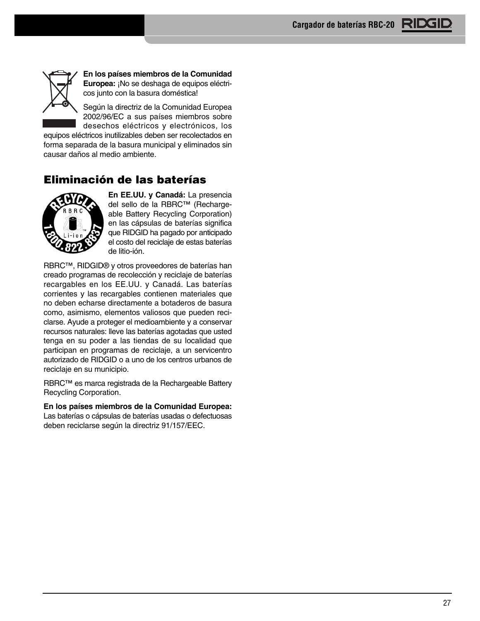

**En los países miembros de la Comunidad Europea:** ¡No se deshaga de equipos eléctricos junto con la basura doméstica!

Según la directriz de la Comunidad Europea 2002/96/EC a sus países miembros sobre desechos eléctricos y electrónicos, los

equipos eléctricos inutilizables deben ser recolectados en forma separada de la basura municipal y eliminados sin causar daños al medio ambiente.

## **Eliminación de las baterías**



**En EE.UU. y Canadá:** La presencia del sello de la RBRC™ (Rechargeable Battery Recycling Corporation) en las cápsulas de baterías significa que RIDGID ha pagado por anticipado el costo del reciclaje de estas baterías de litio-ión.

RBRC™, RIDGID® y otros proveedores de baterías han creado programas de recolección y reciclaje de baterías recargables en los EE.UU. y Canadá. Las baterías corrientes y las recargables contienen materiales que no deben echarse directamente a botaderos de basura como, asimismo, elementos valiosos que pueden reciclarse. Ayude a proteger el medioambiente y a conservar recursos naturales: lleve las baterías agotadas que usted tenga en su poder a las tiendas de su localidad que participan en programas de reciclaje, a un servicentro autorizado de RIDGID o a uno de los centros urbanos de reciclaje en su municipio.

RBRC™ es marca registrada de la Rechargeable Battery Recycling Corporation.

**En los países miembros de la Comunidad Europea:** Las baterías o cápsulas de baterías usadas o defectuosas deben reciclarse según la directriz 91/157/EEC.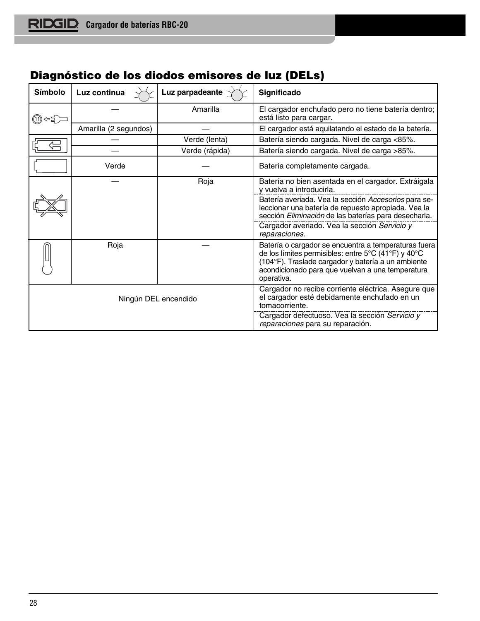## **Diagnóstico de los diodos emisores de luz (DELs)**

| <b>Símbolo</b>       | Luz continua          | Luz parpadeante | Significado                                                                                                                                                                                                                         |
|----------------------|-----------------------|-----------------|-------------------------------------------------------------------------------------------------------------------------------------------------------------------------------------------------------------------------------------|
| (⑩∻╡)                |                       | Amarilla        | El cargador enchufado pero no tiene batería dentro;<br>está listo para cargar.                                                                                                                                                      |
|                      | Amarilla (2 segundos) |                 | El cargador está aquilatando el estado de la batería.                                                                                                                                                                               |
|                      |                       | Verde (lenta)   | Batería siendo cargada. Nivel de carga <85%.                                                                                                                                                                                        |
|                      |                       | Verde (rápida)  | Batería siendo cargada. Nivel de carga >85%.                                                                                                                                                                                        |
|                      | Verde                 |                 | Batería completamente cargada.                                                                                                                                                                                                      |
|                      |                       | Roja            | Batería no bien asentada en el cargador. Extráigala<br>y vuelva a introducirla.                                                                                                                                                     |
|                      |                       |                 | Batería averiada. Vea la sección Accesorios para se-<br>leccionar una batería de repuesto apropiada. Vea la<br>sección Eliminación de las baterías para desecharla.                                                                 |
|                      |                       |                 | Cargador averiado. Vea la sección Servicio y<br>reparaciones.                                                                                                                                                                       |
|                      | Roja                  |                 | Batería o cargador se encuentra a temperaturas fuera<br>de los límites permisibles: entre 5°C (41°F) y 40°C<br>(104°F). Traslade cargador y batería a un ambiente<br>acondicionado para que vuelvan a una temperatura<br>operativa. |
| Ningún DEL encendido |                       |                 | Cargador no recibe corriente eléctrica. Asegure que<br>el cargador esté debidamente enchufado en un<br>tomacorriente.                                                                                                               |
|                      |                       |                 | Cargador defectuoso. Vea la sección Servicio y<br>reparaciones para su reparación.                                                                                                                                                  |